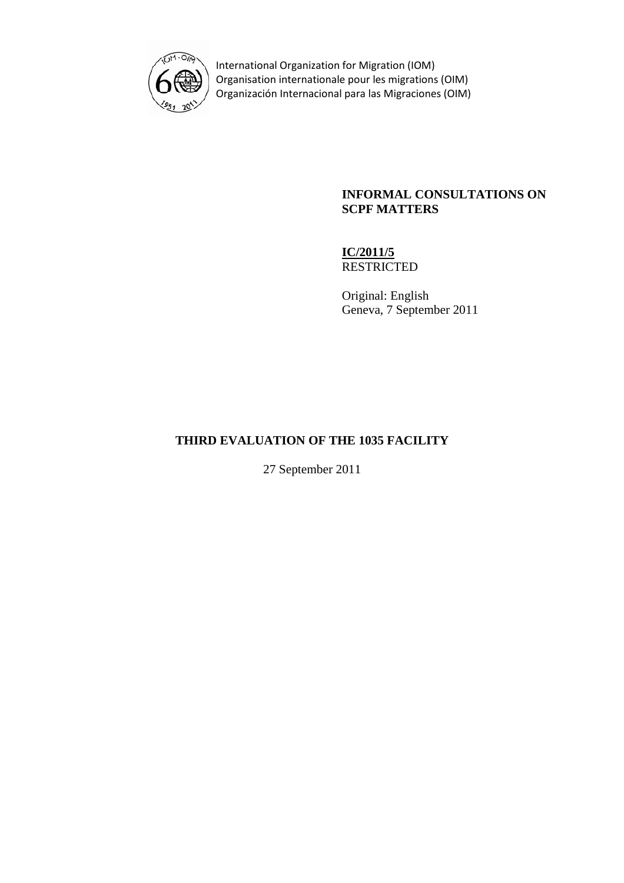

International Organization for Migration (IOM) Organisation internationale pour les migrations (OIM) Organización Internacional para las Migraciones (OIM)

### **INFORMAL CONSULTATIONS ON SCPF MATTERS**

**IC/2011/5 RESTRICTED** 

Original: English Geneva, 7 September 2011

# **THIRD EVALUATION OF THE 1035 FACILITY**

27 September 2011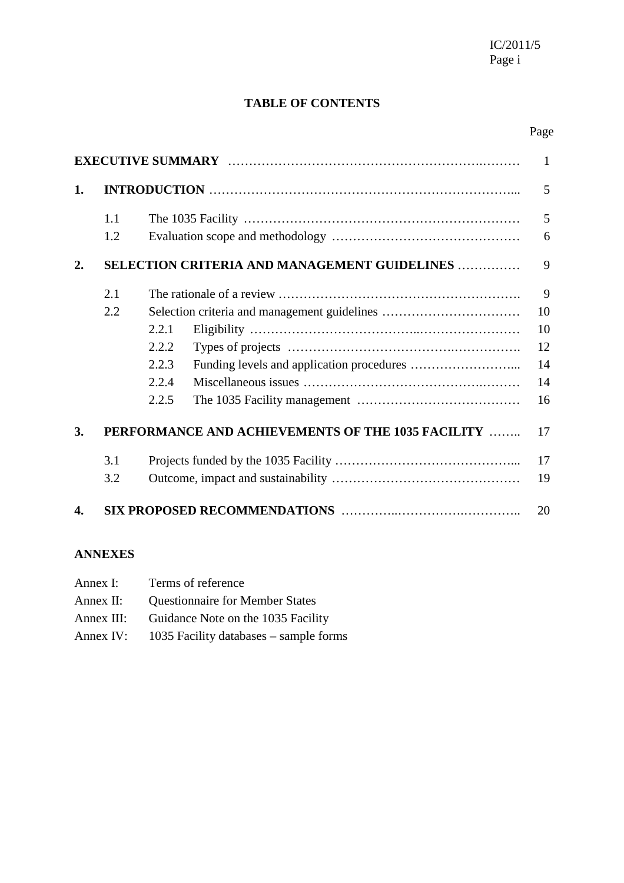# **TABLE OF CONTENTS**

## Page

| $\mathbf{1}$ |     |       |                                                   |    |
|--------------|-----|-------|---------------------------------------------------|----|
| 1.           |     |       |                                                   | 5  |
|              | 1.1 |       |                                                   | 5  |
|              | 1.2 |       |                                                   | 6  |
| 2.           |     |       | SELECTION CRITERIA AND MANAGEMENT GUIDELINES      | 9  |
|              | 2.1 |       |                                                   | 9  |
|              | 2.2 |       |                                                   | 10 |
|              |     | 2.2.1 |                                                   | 10 |
|              |     | 2.2.2 |                                                   | 12 |
|              |     | 2.2.3 |                                                   | 14 |
|              |     | 2.2.4 |                                                   | 14 |
|              |     | 2.2.5 |                                                   | 16 |
| 3.           |     |       | PERFORMANCE AND ACHIEVEMENTS OF THE 1035 FACILITY | 17 |
|              | 3.1 |       |                                                   | 17 |
|              | 3.2 |       |                                                   | 19 |
| 4.           |     |       |                                                   | 20 |

### **ANNEXES**

| Annex I:   | Terms of reference                       |
|------------|------------------------------------------|
| Annex II:  | <b>Questionnaire for Member States</b>   |
| Annex III: | Guidance Note on the 1035 Facility       |
| Annex IV:  | 1035 Facility databases $-$ sample forms |
|            |                                          |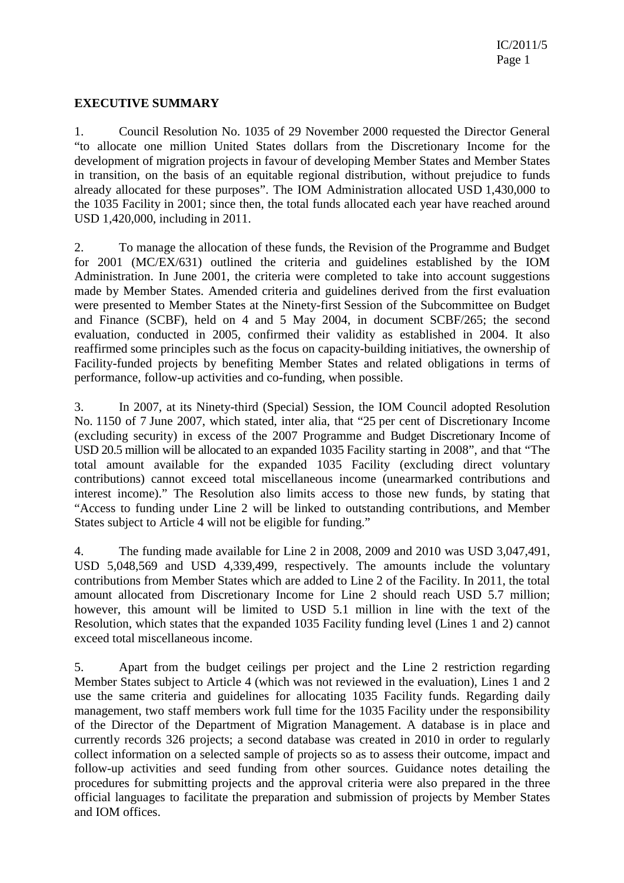### **EXECUTIVE SUMMARY**

1. Council Resolution No. 1035 of 29 November 2000 requested the Director General "to allocate one million United States dollars from the Discretionary Income for the development of migration projects in favour of developing Member States and Member States in transition, on the basis of an equitable regional distribution, without prejudice to funds already allocated for these purposes". The IOM Administration allocated USD 1,430,000 to the 1035 Facility in 2001; since then, the total funds allocated each year have reached around USD 1,420,000, including in 2011.

2. To manage the allocation of these funds, the Revision of the Programme and Budget for 2001 (MC/EX/631) outlined the criteria and guidelines established by the IOM Administration. In June 2001, the criteria were completed to take into account suggestions made by Member States. Amended criteria and guidelines derived from the first evaluation were presented to Member States at the Ninety-first Session of the Subcommittee on Budget and Finance (SCBF), held on 4 and 5 May 2004, in document SCBF/265; the second evaluation, conducted in 2005, confirmed their validity as established in 2004. It also reaffirmed some principles such as the focus on capacity-building initiatives, the ownership of Facility-funded projects by benefiting Member States and related obligations in terms of performance, follow-up activities and co-funding, when possible.

3. In 2007, at its Ninety-third (Special) Session, the IOM Council adopted Resolution No. 1150 of 7 June 2007, which stated, inter alia, that "25 per cent of Discretionary Income (excluding security) in excess of the 2007 Programme and Budget Discretionary Income of USD 20.5 million will be allocated to an expanded 1035 Facility starting in 2008", and that "The total amount available for the expanded 1035 Facility (excluding direct voluntary contributions) cannot exceed total miscellaneous income (unearmarked contributions and interest income)." The Resolution also limits access to those new funds, by stating that "Access to funding under Line 2 will be linked to outstanding contributions, and Member States subject to Article 4 will not be eligible for funding."

4. The funding made available for Line 2 in 2008, 2009 and 2010 was USD 3,047,491, USD 5,048,569 and USD 4,339,499, respectively. The amounts include the voluntary contributions from Member States which are added to Line 2 of the Facility. In 2011, the total amount allocated from Discretionary Income for Line 2 should reach USD 5.7 million; however, this amount will be limited to USD 5.1 million in line with the text of the Resolution, which states that the expanded 1035 Facility funding level (Lines 1 and 2) cannot exceed total miscellaneous income.

5. Apart from the budget ceilings per project and the Line 2 restriction regarding Member States subject to Article 4 (which was not reviewed in the evaluation), Lines 1 and 2 use the same criteria and guidelines for allocating 1035 Facility funds. Regarding daily management, two staff members work full time for the 1035 Facility under the responsibility of the Director of the Department of Migration Management. A database is in place and currently records 326 projects; a second database was created in 2010 in order to regularly collect information on a selected sample of projects so as to assess their outcome, impact and follow-up activities and seed funding from other sources. Guidance notes detailing the procedures for submitting projects and the approval criteria were also prepared in the three official languages to facilitate the preparation and submission of projects by Member States and IOM offices.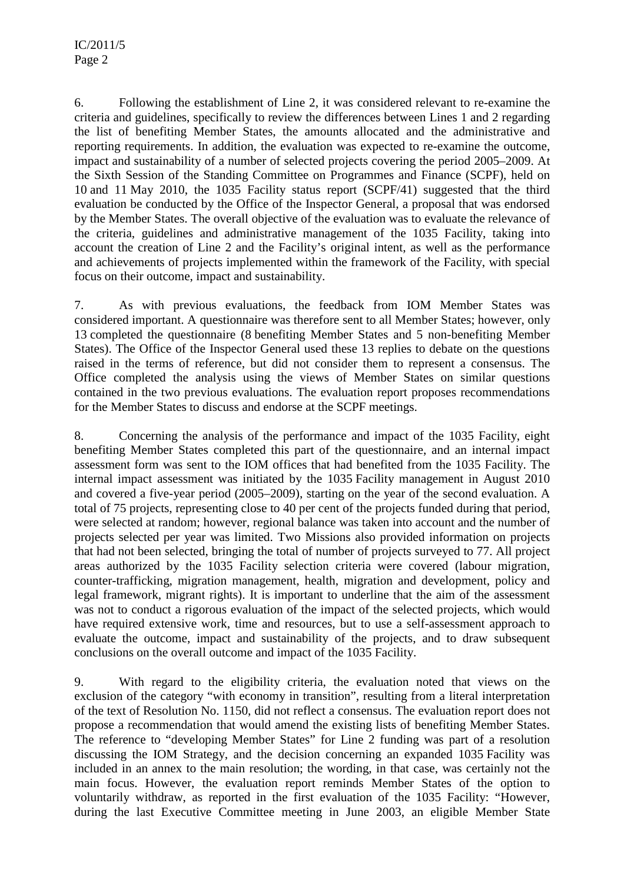6. Following the establishment of Line 2, it was considered relevant to re-examine the criteria and guidelines, specifically to review the differences between Lines 1 and 2 regarding the list of benefiting Member States, the amounts allocated and the administrative and reporting requirements. In addition, the evaluation was expected to re-examine the outcome, impact and sustainability of a number of selected projects covering the period 2005–2009. At the Sixth Session of the Standing Committee on Programmes and Finance (SCPF), held on 10 and 11 May 2010, the 1035 Facility status report (SCPF/41) suggested that the third evaluation be conducted by the Office of the Inspector General, a proposal that was endorsed by the Member States. The overall objective of the evaluation was to evaluate the relevance of the criteria, guidelines and administrative management of the 1035 Facility, taking into account the creation of Line 2 and the Facility's original intent, as well as the performance and achievements of projects implemented within the framework of the Facility, with special focus on their outcome, impact and sustainability.

7. As with previous evaluations, the feedback from IOM Member States was considered important. A questionnaire was therefore sent to all Member States; however, only 13 completed the questionnaire (8 benefiting Member States and 5 non-benefiting Member States). The Office of the Inspector General used these 13 replies to debate on the questions raised in the terms of reference, but did not consider them to represent a consensus. The Office completed the analysis using the views of Member States on similar questions contained in the two previous evaluations. The evaluation report proposes recommendations for the Member States to discuss and endorse at the SCPF meetings.

8. Concerning the analysis of the performance and impact of the 1035 Facility, eight benefiting Member States completed this part of the questionnaire, and an internal impact assessment form was sent to the IOM offices that had benefited from the 1035 Facility. The internal impact assessment was initiated by the 1035 Facility management in August 2010 and covered a five-year period (2005–2009), starting on the year of the second evaluation. A total of 75 projects, representing close to 40 per cent of the projects funded during that period, were selected at random; however, regional balance was taken into account and the number of projects selected per year was limited. Two Missions also provided information on projects that had not been selected, bringing the total of number of projects surveyed to 77. All project areas authorized by the 1035 Facility selection criteria were covered (labour migration, counter-trafficking, migration management, health, migration and development, policy and legal framework, migrant rights). It is important to underline that the aim of the assessment was not to conduct a rigorous evaluation of the impact of the selected projects, which would have required extensive work, time and resources, but to use a self-assessment approach to evaluate the outcome, impact and sustainability of the projects, and to draw subsequent conclusions on the overall outcome and impact of the 1035 Facility.

9. With regard to the eligibility criteria, the evaluation noted that views on the exclusion of the category "with economy in transition", resulting from a literal interpretation of the text of Resolution No. 1150, did not reflect a consensus. The evaluation report does not propose a recommendation that would amend the existing lists of benefiting Member States. The reference to "developing Member States" for Line 2 funding was part of a resolution discussing the IOM Strategy, and the decision concerning an expanded 1035 Facility was included in an annex to the main resolution; the wording, in that case, was certainly not the main focus. However, the evaluation report reminds Member States of the option to voluntarily withdraw, as reported in the first evaluation of the 1035 Facility: "However, during the last Executive Committee meeting in June 2003, an eligible Member State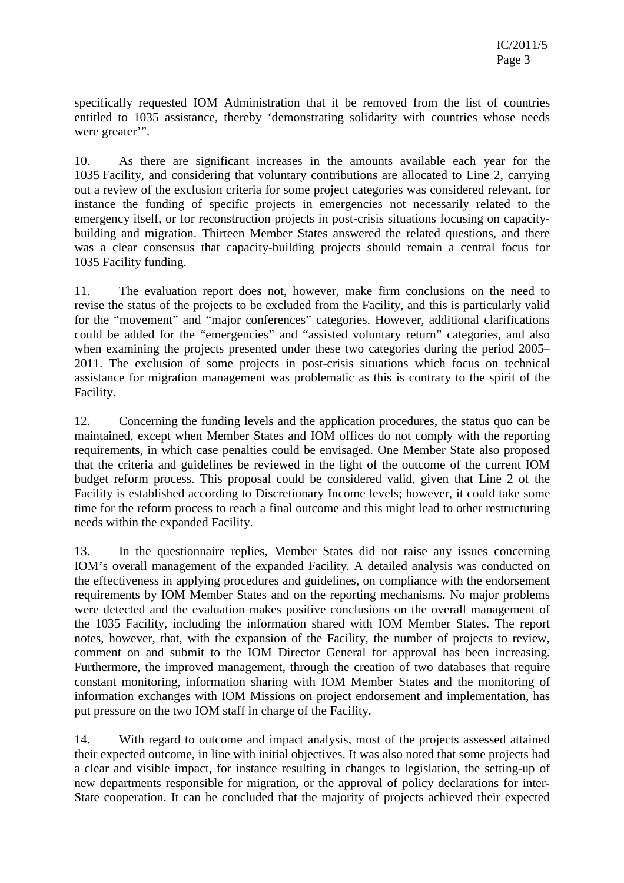specifically requested IOM Administration that it be removed from the list of countries entitled to 1035 assistance, thereby 'demonstrating solidarity with countries whose needs were greater".

10. As there are significant increases in the amounts available each year for the 1035 Facility, and considering that voluntary contributions are allocated to Line 2, carrying out a review of the exclusion criteria for some project categories was considered relevant, for instance the funding of specific projects in emergencies not necessarily related to the emergency itself, or for reconstruction projects in post-crisis situations focusing on capacitybuilding and migration. Thirteen Member States answered the related questions, and there was a clear consensus that capacity-building projects should remain a central focus for 1035 Facility funding.

11. The evaluation report does not, however, make firm conclusions on the need to revise the status of the projects to be excluded from the Facility, and this is particularly valid for the "movement" and "major conferences" categories. However, additional clarifications could be added for the "emergencies" and "assisted voluntary return" categories, and also when examining the projects presented under these two categories during the period 2005– 2011. The exclusion of some projects in post-crisis situations which focus on technical assistance for migration management was problematic as this is contrary to the spirit of the Facility.

12. Concerning the funding levels and the application procedures, the status quo can be maintained, except when Member States and IOM offices do not comply with the reporting requirements, in which case penalties could be envisaged. One Member State also proposed that the criteria and guidelines be reviewed in the light of the outcome of the current IOM budget reform process. This proposal could be considered valid, given that Line 2 of the Facility is established according to Discretionary Income levels; however, it could take some time for the reform process to reach a final outcome and this might lead to other restructuring needs within the expanded Facility.

13. In the questionnaire replies, Member States did not raise any issues concerning IOM's overall management of the expanded Facility. A detailed analysis was conducted on the effectiveness in applying procedures and guidelines, on compliance with the endorsement requirements by IOM Member States and on the reporting mechanisms. No major problems were detected and the evaluation makes positive conclusions on the overall management of the 1035 Facility, including the information shared with IOM Member States. The report notes, however, that, with the expansion of the Facility, the number of projects to review, comment on and submit to the IOM Director General for approval has been increasing. Furthermore, the improved management, through the creation of two databases that require constant monitoring, information sharing with IOM Member States and the monitoring of information exchanges with IOM Missions on project endorsement and implementation, has put pressure on the two IOM staff in charge of the Facility.

14. With regard to outcome and impact analysis, most of the projects assessed attained their expected outcome, in line with initial objectives. It was also noted that some projects had a clear and visible impact, for instance resulting in changes to legislation, the setting-up of new departments responsible for migration, or the approval of policy declarations for inter-State cooperation. It can be concluded that the majority of projects achieved their expected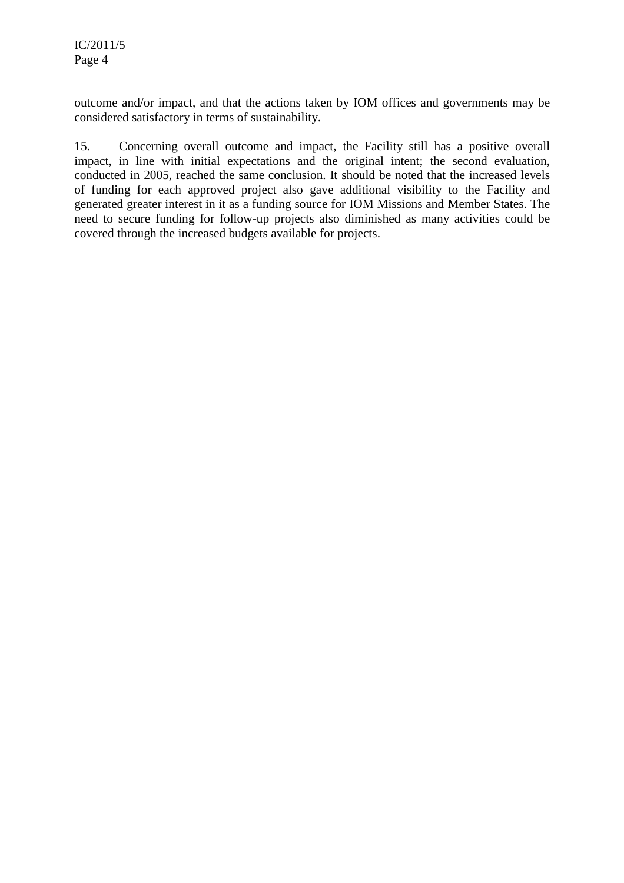outcome and/or impact, and that the actions taken by IOM offices and governments may be considered satisfactory in terms of sustainability.

15. Concerning overall outcome and impact, the Facility still has a positive overall impact, in line with initial expectations and the original intent; the second evaluation, conducted in 2005, reached the same conclusion. It should be noted that the increased levels of funding for each approved project also gave additional visibility to the Facility and generated greater interest in it as a funding source for IOM Missions and Member States. The need to secure funding for follow-up projects also diminished as many activities could be covered through the increased budgets available for projects.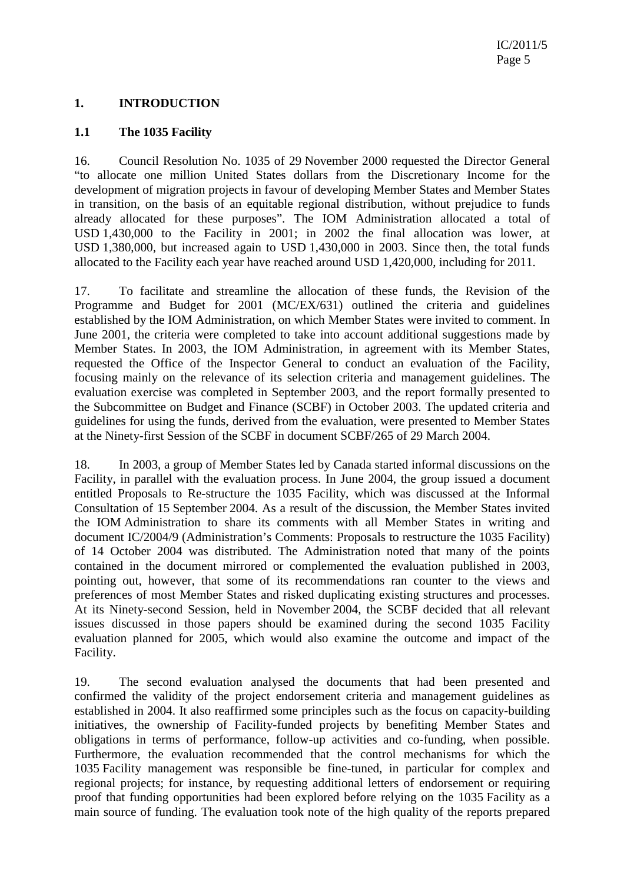### **1. INTRODUCTION**

#### **1.1 The 1035 Facility**

16. Council Resolution No. 1035 of 29 November 2000 requested the Director General "to allocate one million United States dollars from the Discretionary Income for the development of migration projects in favour of developing Member States and Member States in transition, on the basis of an equitable regional distribution, without prejudice to funds already allocated for these purposes". The IOM Administration allocated a total of USD 1,430,000 to the Facility in 2001; in 2002 the final allocation was lower, at USD 1,380,000, but increased again to USD 1,430,000 in 2003. Since then, the total funds allocated to the Facility each year have reached around USD 1,420,000, including for 2011.

17. To facilitate and streamline the allocation of these funds, the Revision of the Programme and Budget for 2001 (MC/EX/631) outlined the criteria and guidelines established by the IOM Administration, on which Member States were invited to comment. In June 2001, the criteria were completed to take into account additional suggestions made by Member States. In 2003, the IOM Administration, in agreement with its Member States, requested the Office of the Inspector General to conduct an evaluation of the Facility, focusing mainly on the relevance of its selection criteria and management guidelines. The evaluation exercise was completed in September 2003, and the report formally presented to the Subcommittee on Budget and Finance (SCBF) in October 2003. The updated criteria and guidelines for using the funds, derived from the evaluation, were presented to Member States at the Ninety-first Session of the SCBF in document SCBF/265 of 29 March 2004.

18. In 2003, a group of Member States led by Canada started informal discussions on the Facility, in parallel with the evaluation process. In June 2004, the group issued a document entitled Proposals to Re-structure the 1035 Facility, which was discussed at the Informal Consultation of 15 September 2004. As a result of the discussion, the Member States invited the IOM Administration to share its comments with all Member States in writing and document IC/2004/9 (Administration's Comments: Proposals to restructure the 1035 Facility) of 14 October 2004 was distributed. The Administration noted that many of the points contained in the document mirrored or complemented the evaluation published in 2003, pointing out, however, that some of its recommendations ran counter to the views and preferences of most Member States and risked duplicating existing structures and processes. At its Ninety-second Session, held in November 2004, the SCBF decided that all relevant issues discussed in those papers should be examined during the second 1035 Facility evaluation planned for 2005, which would also examine the outcome and impact of the Facility.

19. The second evaluation analysed the documents that had been presented and confirmed the validity of the project endorsement criteria and management guidelines as established in 2004. It also reaffirmed some principles such as the focus on capacity-building initiatives, the ownership of Facility-funded projects by benefiting Member States and obligations in terms of performance, follow-up activities and co-funding, when possible. Furthermore, the evaluation recommended that the control mechanisms for which the 1035 Facility management was responsible be fine-tuned, in particular for complex and regional projects; for instance, by requesting additional letters of endorsement or requiring proof that funding opportunities had been explored before relying on the 1035 Facility as a main source of funding. The evaluation took note of the high quality of the reports prepared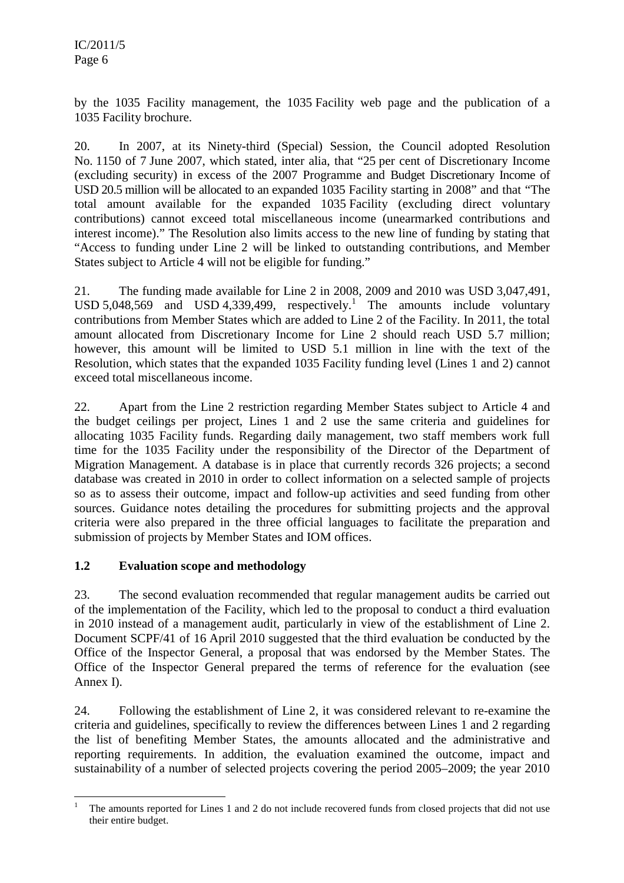by the 1035 Facility management, the 1035 Facility web page and the publication of a 1035 Facility brochure.

20. In 2007, at its Ninety-third (Special) Session, the Council adopted Resolution No. 1150 of 7 June 2007, which stated, inter alia, that "25 per cent of Discretionary Income (excluding security) in excess of the 2007 Programme and Budget Discretionary Income of USD 20.5 million will be allocated to an expanded 1035 Facility starting in 2008" and that "The total amount available for the expanded 1035 Facility (excluding direct voluntary contributions) cannot exceed total miscellaneous income (unearmarked contributions and interest income)." The Resolution also limits access to the new line of funding by stating that "Access to funding under Line 2 will be linked to outstanding contributions, and Member States subject to Article 4 will not be eligible for funding."

21. The funding made available for Line 2 in 2008, 2009 and 2010 was USD 3,047,491, USD 5,048,569 and USD 4,339,499, respectively.<sup>1</sup> The amounts include voluntary contributions from Member States which are added to Line 2 of the Facility. In 2011, the total amount allocated from Discretionary Income for Line 2 should reach USD 5.7 million; however, this amount will be limited to USD 5.1 million in line with the text of the Resolution, which states that the expanded 1035 Facility funding level (Lines 1 and 2) cannot exceed total miscellaneous income.

22. Apart from the Line 2 restriction regarding Member States subject to Article 4 and the budget ceilings per project, Lines 1 and 2 use the same criteria and guidelines for allocating 1035 Facility funds. Regarding daily management, two staff members work full time for the 1035 Facility under the responsibility of the Director of the Department of Migration Management. A database is in place that currently records 326 projects; a second database was created in 2010 in order to collect information on a selected sample of projects so as to assess their outcome, impact and follow-up activities and seed funding from other sources. Guidance notes detailing the procedures for submitting projects and the approval criteria were also prepared in the three official languages to facilitate the preparation and submission of projects by Member States and IOM offices.

### **1.2 Evaluation scope and methodology**

23. The second evaluation recommended that regular management audits be carried out of the implementation of the Facility, which led to the proposal to conduct a third evaluation in 2010 instead of a management audit, particularly in view of the establishment of Line 2. Document SCPF/41 of 16 April 2010 suggested that the third evaluation be conducted by the Office of the Inspector General, a proposal that was endorsed by the Member States. The Office of the Inspector General prepared the terms of reference for the evaluation (see Annex I).

24. Following the establishment of Line 2, it was considered relevant to re-examine the criteria and guidelines, specifically to review the differences between Lines 1 and 2 regarding the list of benefiting Member States, the amounts allocated and the administrative and reporting requirements. In addition, the evaluation examined the outcome, impact and sustainability of a number of selected projects covering the period 2005–2009; the year 2010

l 1 The amounts reported for Lines 1 and 2 do not include recovered funds from closed projects that did not use their entire budget.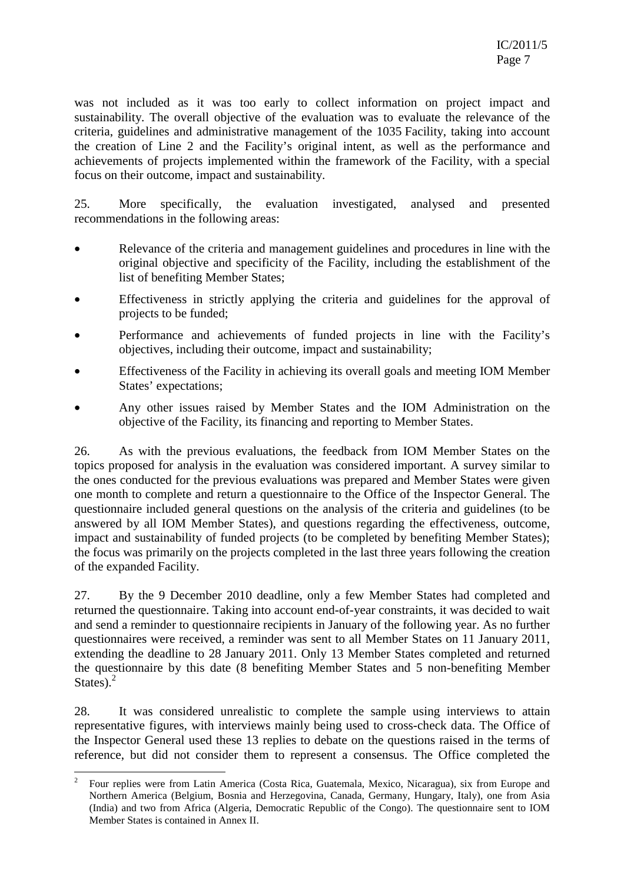was not included as it was too early to collect information on project impact and sustainability. The overall objective of the evaluation was to evaluate the relevance of the criteria, guidelines and administrative management of the 1035 Facility, taking into account the creation of Line 2 and the Facility's original intent, as well as the performance and achievements of projects implemented within the framework of the Facility, with a special focus on their outcome, impact and sustainability.

25. More specifically, the evaluation investigated, analysed and presented recommendations in the following areas:

- Relevance of the criteria and management guidelines and procedures in line with the original objective and specificity of the Facility, including the establishment of the list of benefiting Member States;
- Effectiveness in strictly applying the criteria and guidelines for the approval of projects to be funded;
- Performance and achievements of funded projects in line with the Facility's objectives, including their outcome, impact and sustainability;
- Effectiveness of the Facility in achieving its overall goals and meeting IOM Member States' expectations;
- Any other issues raised by Member States and the IOM Administration on the objective of the Facility, its financing and reporting to Member States.

26. As with the previous evaluations, the feedback from IOM Member States on the topics proposed for analysis in the evaluation was considered important. A survey similar to the ones conducted for the previous evaluations was prepared and Member States were given one month to complete and return a questionnaire to the Office of the Inspector General. The questionnaire included general questions on the analysis of the criteria and guidelines (to be answered by all IOM Member States), and questions regarding the effectiveness, outcome, impact and sustainability of funded projects (to be completed by benefiting Member States); the focus was primarily on the projects completed in the last three years following the creation of the expanded Facility.

27. By the 9 December 2010 deadline, only a few Member States had completed and returned the questionnaire. Taking into account end-of-year constraints, it was decided to wait and send a reminder to questionnaire recipients in January of the following year. As no further questionnaires were received, a reminder was sent to all Member States on 11 January 2011, extending the deadline to 28 January 2011. Only 13 Member States completed and returned the questionnaire by this date (8 benefiting Member States and 5 non-benefiting Member States). $<sup>2</sup>$ </sup>

28. It was considered unrealistic to complete the sample using interviews to attain representative figures, with interviews mainly being used to cross-check data. The Office of the Inspector General used these 13 replies to debate on the questions raised in the terms of reference, but did not consider them to represent a consensus. The Office completed the

 $\frac{1}{2}$  Four replies were from Latin America (Costa Rica, Guatemala, Mexico, Nicaragua), six from Europe and Northern America (Belgium, Bosnia and Herzegovina, Canada, Germany, Hungary, Italy), one from Asia (India) and two from Africa (Algeria, Democratic Republic of the Congo). The questionnaire sent to IOM Member States is contained in Annex II.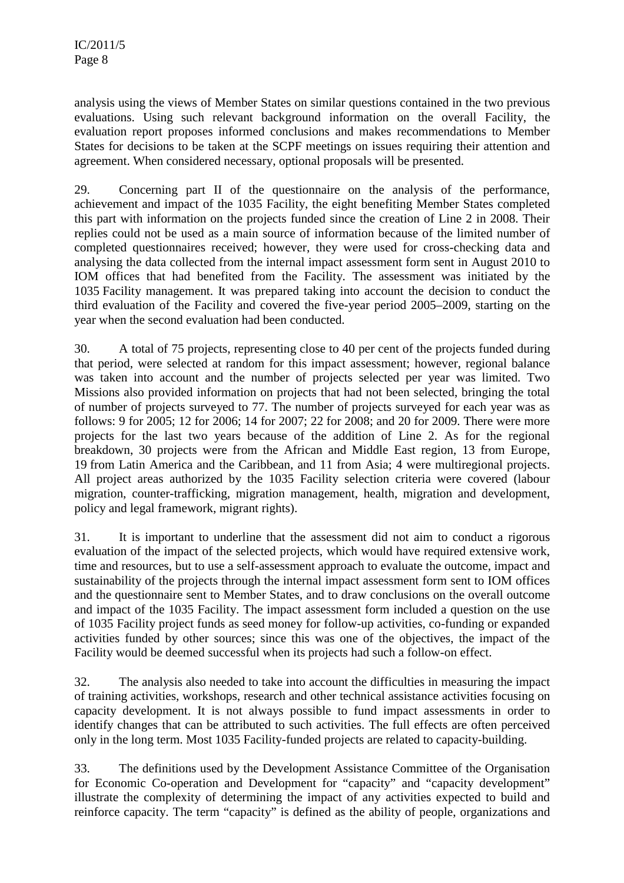analysis using the views of Member States on similar questions contained in the two previous evaluations. Using such relevant background information on the overall Facility, the evaluation report proposes informed conclusions and makes recommendations to Member States for decisions to be taken at the SCPF meetings on issues requiring their attention and agreement. When considered necessary, optional proposals will be presented.

29. Concerning part II of the questionnaire on the analysis of the performance, achievement and impact of the 1035 Facility, the eight benefiting Member States completed this part with information on the projects funded since the creation of Line 2 in 2008. Their replies could not be used as a main source of information because of the limited number of completed questionnaires received; however, they were used for cross-checking data and analysing the data collected from the internal impact assessment form sent in August 2010 to IOM offices that had benefited from the Facility. The assessment was initiated by the 1035 Facility management. It was prepared taking into account the decision to conduct the third evaluation of the Facility and covered the five-year period 2005–2009, starting on the year when the second evaluation had been conducted.

30. A total of 75 projects, representing close to 40 per cent of the projects funded during that period, were selected at random for this impact assessment; however, regional balance was taken into account and the number of projects selected per year was limited. Two Missions also provided information on projects that had not been selected, bringing the total of number of projects surveyed to 77. The number of projects surveyed for each year was as follows: 9 for 2005; 12 for 2006; 14 for 2007; 22 for 2008; and 20 for 2009. There were more projects for the last two years because of the addition of Line 2. As for the regional breakdown, 30 projects were from the African and Middle East region, 13 from Europe, 19 from Latin America and the Caribbean, and 11 from Asia; 4 were multiregional projects. All project areas authorized by the 1035 Facility selection criteria were covered (labour migration, counter-trafficking, migration management, health, migration and development, policy and legal framework, migrant rights).

31. It is important to underline that the assessment did not aim to conduct a rigorous evaluation of the impact of the selected projects, which would have required extensive work, time and resources, but to use a self-assessment approach to evaluate the outcome, impact and sustainability of the projects through the internal impact assessment form sent to IOM offices and the questionnaire sent to Member States, and to draw conclusions on the overall outcome and impact of the 1035 Facility. The impact assessment form included a question on the use of 1035 Facility project funds as seed money for follow-up activities, co-funding or expanded activities funded by other sources; since this was one of the objectives, the impact of the Facility would be deemed successful when its projects had such a follow-on effect.

32. The analysis also needed to take into account the difficulties in measuring the impact of training activities, workshops, research and other technical assistance activities focusing on capacity development. It is not always possible to fund impact assessments in order to identify changes that can be attributed to such activities. The full effects are often perceived only in the long term. Most 1035 Facility-funded projects are related to capacity-building.

33. The definitions used by the Development Assistance Committee of the Organisation for Economic Co-operation and Development for "capacity" and "capacity development" illustrate the complexity of determining the impact of any activities expected to build and reinforce capacity. The term "capacity" is defined as the ability of people, organizations and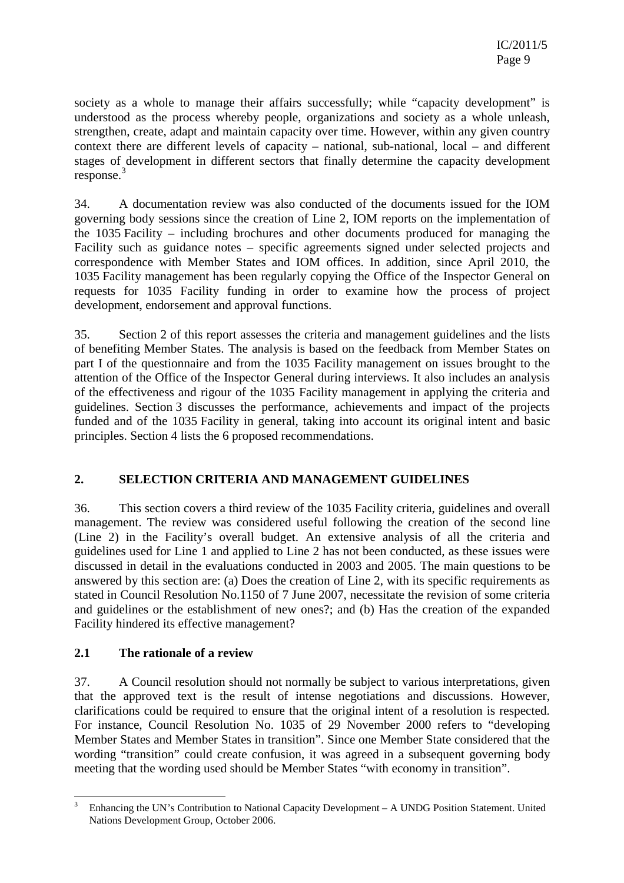society as a whole to manage their affairs successfully; while "capacity development" is understood as the process whereby people, organizations and society as a whole unleash, strengthen, create, adapt and maintain capacity over time. However, within any given country context there are different levels of capacity – national, sub-national, local – and different stages of development in different sectors that finally determine the capacity development response.<sup>3</sup>

34. A documentation review was also conducted of the documents issued for the IOM governing body sessions since the creation of Line 2, IOM reports on the implementation of the 1035 Facility – including brochures and other documents produced for managing the Facility such as guidance notes – specific agreements signed under selected projects and correspondence with Member States and IOM offices. In addition, since April 2010, the 1035 Facility management has been regularly copying the Office of the Inspector General on requests for 1035 Facility funding in order to examine how the process of project development, endorsement and approval functions.

35. Section 2 of this report assesses the criteria and management guidelines and the lists of benefiting Member States. The analysis is based on the feedback from Member States on part I of the questionnaire and from the 1035 Facility management on issues brought to the attention of the Office of the Inspector General during interviews. It also includes an analysis of the effectiveness and rigour of the 1035 Facility management in applying the criteria and guidelines. Section 3 discusses the performance, achievements and impact of the projects funded and of the 1035 Facility in general, taking into account its original intent and basic principles. Section 4 lists the 6 proposed recommendations.

## **2. SELECTION CRITERIA AND MANAGEMENT GUIDELINES**

36. This section covers a third review of the 1035 Facility criteria, guidelines and overall management. The review was considered useful following the creation of the second line (Line 2) in the Facility's overall budget. An extensive analysis of all the criteria and guidelines used for Line 1 and applied to Line 2 has not been conducted, as these issues were discussed in detail in the evaluations conducted in 2003 and 2005. The main questions to be answered by this section are: (a) Does the creation of Line 2, with its specific requirements as stated in Council Resolution No.1150 of 7 June 2007, necessitate the revision of some criteria and guidelines or the establishment of new ones?; and (b) Has the creation of the expanded Facility hindered its effective management?

### **2.1 The rationale of a review**

37. A Council resolution should not normally be subject to various interpretations, given that the approved text is the result of intense negotiations and discussions. However, clarifications could be required to ensure that the original intent of a resolution is respected. For instance, Council Resolution No. 1035 of 29 November 2000 refers to "developing Member States and Member States in transition". Since one Member State considered that the wording "transition" could create confusion, it was agreed in a subsequent governing body meeting that the wording used should be Member States "with economy in transition".

 $\overline{a}$ 3 Enhancing the UN's Contribution to National Capacity Development – A UNDG Position Statement. United Nations Development Group, October 2006.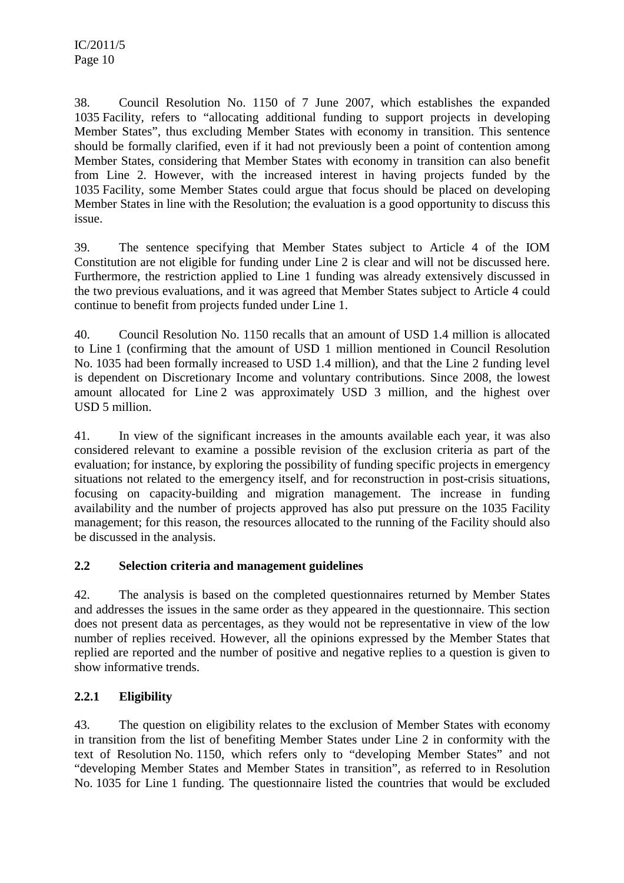38. Council Resolution No. 1150 of 7 June 2007, which establishes the expanded 1035 Facility, refers to "allocating additional funding to support projects in developing Member States", thus excluding Member States with economy in transition. This sentence should be formally clarified, even if it had not previously been a point of contention among Member States, considering that Member States with economy in transition can also benefit from Line 2. However, with the increased interest in having projects funded by the 1035 Facility, some Member States could argue that focus should be placed on developing Member States in line with the Resolution; the evaluation is a good opportunity to discuss this issue.

39. The sentence specifying that Member States subject to Article 4 of the IOM Constitution are not eligible for funding under Line 2 is clear and will not be discussed here. Furthermore, the restriction applied to Line 1 funding was already extensively discussed in the two previous evaluations, and it was agreed that Member States subject to Article 4 could continue to benefit from projects funded under Line 1.

40. Council Resolution No. 1150 recalls that an amount of USD 1.4 million is allocated to Line 1 (confirming that the amount of USD 1 million mentioned in Council Resolution No. 1035 had been formally increased to USD 1.4 million), and that the Line 2 funding level is dependent on Discretionary Income and voluntary contributions. Since 2008, the lowest amount allocated for Line 2 was approximately USD 3 million, and the highest over USD 5 million.

41. In view of the significant increases in the amounts available each year, it was also considered relevant to examine a possible revision of the exclusion criteria as part of the evaluation; for instance, by exploring the possibility of funding specific projects in emergency situations not related to the emergency itself, and for reconstruction in post-crisis situations, focusing on capacity-building and migration management. The increase in funding availability and the number of projects approved has also put pressure on the 1035 Facility management; for this reason, the resources allocated to the running of the Facility should also be discussed in the analysis.

### **2.2 Selection criteria and management guidelines**

42. The analysis is based on the completed questionnaires returned by Member States and addresses the issues in the same order as they appeared in the questionnaire. This section does not present data as percentages, as they would not be representative in view of the low number of replies received. However, all the opinions expressed by the Member States that replied are reported and the number of positive and negative replies to a question is given to show informative trends.

## **2.2.1 Eligibility**

43. The question on eligibility relates to the exclusion of Member States with economy in transition from the list of benefiting Member States under Line 2 in conformity with the text of Resolution No. 1150, which refers only to "developing Member States" and not "developing Member States and Member States in transition", as referred to in Resolution No. 1035 for Line 1 funding. The questionnaire listed the countries that would be excluded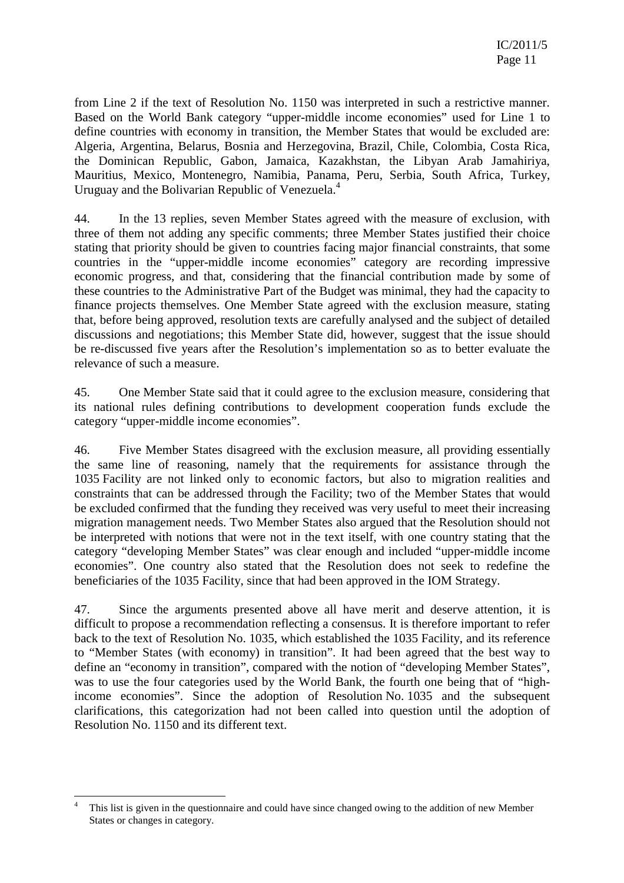from Line 2 if the text of Resolution No. 1150 was interpreted in such a restrictive manner. Based on the World Bank category "upper-middle income economies" used for Line 1 to define countries with economy in transition, the Member States that would be excluded are: Algeria, Argentina, Belarus, Bosnia and Herzegovina, Brazil, Chile, Colombia, Costa Rica, the Dominican Republic, Gabon, Jamaica, Kazakhstan, the Libyan Arab Jamahiriya, Mauritius, Mexico, Montenegro, Namibia, Panama, Peru, Serbia, South Africa, Turkey, Uruguay and the Bolivarian Republic of Venezuela.<sup>4</sup>

44. In the 13 replies, seven Member States agreed with the measure of exclusion, with three of them not adding any specific comments; three Member States justified their choice stating that priority should be given to countries facing major financial constraints, that some countries in the "upper-middle income economies" category are recording impressive economic progress, and that, considering that the financial contribution made by some of these countries to the Administrative Part of the Budget was minimal, they had the capacity to finance projects themselves. One Member State agreed with the exclusion measure, stating that, before being approved, resolution texts are carefully analysed and the subject of detailed discussions and negotiations; this Member State did, however, suggest that the issue should be re-discussed five years after the Resolution's implementation so as to better evaluate the relevance of such a measure.

45. One Member State said that it could agree to the exclusion measure, considering that its national rules defining contributions to development cooperation funds exclude the category "upper-middle income economies".

46. Five Member States disagreed with the exclusion measure, all providing essentially the same line of reasoning, namely that the requirements for assistance through the 1035 Facility are not linked only to economic factors, but also to migration realities and constraints that can be addressed through the Facility; two of the Member States that would be excluded confirmed that the funding they received was very useful to meet their increasing migration management needs. Two Member States also argued that the Resolution should not be interpreted with notions that were not in the text itself, with one country stating that the category "developing Member States" was clear enough and included "upper-middle income economies". One country also stated that the Resolution does not seek to redefine the beneficiaries of the 1035 Facility, since that had been approved in the IOM Strategy.

47. Since the arguments presented above all have merit and deserve attention, it is difficult to propose a recommendation reflecting a consensus. It is therefore important to refer back to the text of Resolution No. 1035, which established the 1035 Facility, and its reference to "Member States (with economy) in transition". It had been agreed that the best way to define an "economy in transition", compared with the notion of "developing Member States", was to use the four categories used by the World Bank, the fourth one being that of "highincome economies". Since the adoption of Resolution No. 1035 and the subsequent clarifications, this categorization had not been called into question until the adoption of Resolution No. 1150 and its different text.

 $\overline{a}$ 

<sup>4</sup> This list is given in the questionnaire and could have since changed owing to the addition of new Member States or changes in category.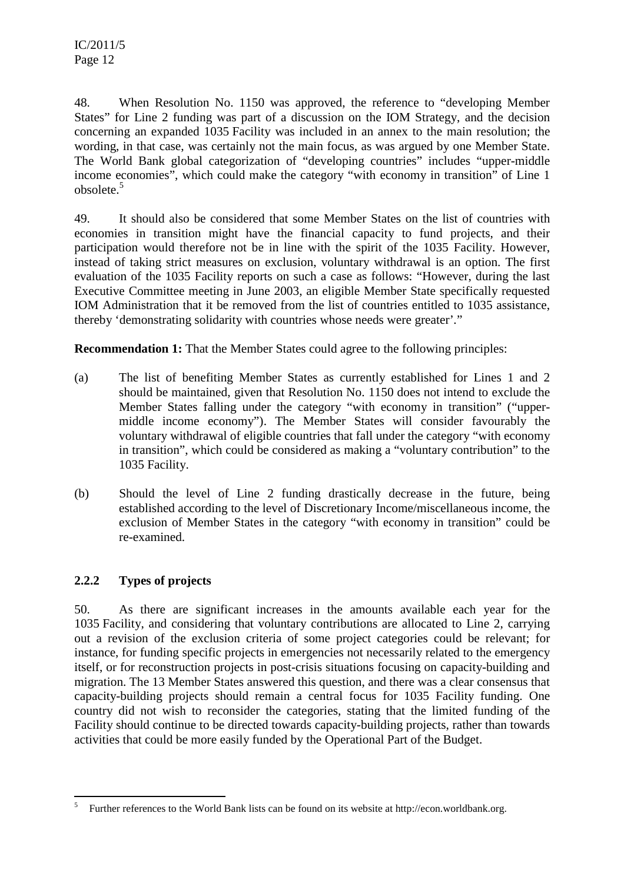48. When Resolution No. 1150 was approved, the reference to "developing Member States" for Line 2 funding was part of a discussion on the IOM Strategy, and the decision concerning an expanded 1035 Facility was included in an annex to the main resolution; the wording, in that case, was certainly not the main focus, as was argued by one Member State. The World Bank global categorization of "developing countries" includes "upper-middle income economies", which could make the category "with economy in transition" of Line 1 obsolete.<sup>5</sup>

49. It should also be considered that some Member States on the list of countries with economies in transition might have the financial capacity to fund projects, and their participation would therefore not be in line with the spirit of the 1035 Facility. However, instead of taking strict measures on exclusion, voluntary withdrawal is an option. The first evaluation of the 1035 Facility reports on such a case as follows: "However, during the last Executive Committee meeting in June 2003, an eligible Member State specifically requested IOM Administration that it be removed from the list of countries entitled to 1035 assistance, thereby 'demonstrating solidarity with countries whose needs were greater'*.*"

**Recommendation 1:** That the Member States could agree to the following principles:

- (a) The list of benefiting Member States as currently established for Lines 1 and 2 should be maintained, given that Resolution No. 1150 does not intend to exclude the Member States falling under the category "with economy in transition" ("uppermiddle income economy"). The Member States will consider favourably the voluntary withdrawal of eligible countries that fall under the category "with economy in transition", which could be considered as making a "voluntary contribution" to the 1035 Facility.
- (b) Should the level of Line 2 funding drastically decrease in the future, being established according to the level of Discretionary Income/miscellaneous income, the exclusion of Member States in the category "with economy in transition" could be re-examined.

### **2.2.2 Types of projects**

 $\overline{\phantom{a}}$ 

50. As there are significant increases in the amounts available each year for the 1035 Facility, and considering that voluntary contributions are allocated to Line 2, carrying out a revision of the exclusion criteria of some project categories could be relevant; for instance, for funding specific projects in emergencies not necessarily related to the emergency itself, or for reconstruction projects in post-crisis situations focusing on capacity-building and migration. The 13 Member States answered this question, and there was a clear consensus that capacity-building projects should remain a central focus for 1035 Facility funding. One country did not wish to reconsider the categories, stating that the limited funding of the Facility should continue to be directed towards capacity-building projects, rather than towards activities that could be more easily funded by the Operational Part of the Budget.

<sup>5</sup> Further references to the World Bank lists can be found on its website at http://econ.worldbank.org.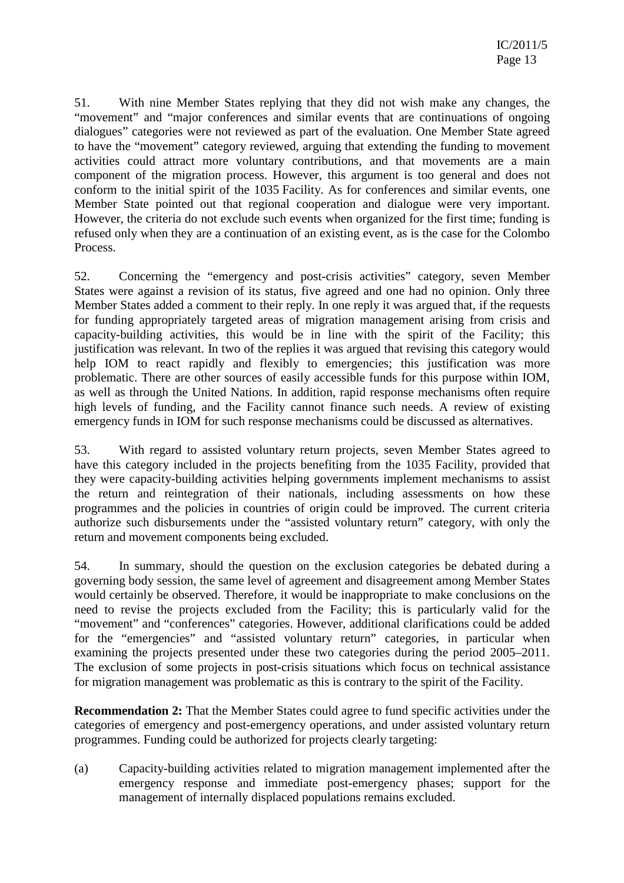51. With nine Member States replying that they did not wish make any changes, the "movement" and "major conferences and similar events that are continuations of ongoing dialogues" categories were not reviewed as part of the evaluation. One Member State agreed to have the "movement" category reviewed, arguing that extending the funding to movement activities could attract more voluntary contributions, and that movements are a main component of the migration process. However, this argument is too general and does not conform to the initial spirit of the 1035 Facility. As for conferences and similar events, one Member State pointed out that regional cooperation and dialogue were very important. However, the criteria do not exclude such events when organized for the first time; funding is refused only when they are a continuation of an existing event, as is the case for the Colombo Process.

52. Concerning the "emergency and post-crisis activities" category, seven Member States were against a revision of its status, five agreed and one had no opinion. Only three Member States added a comment to their reply. In one reply it was argued that, if the requests for funding appropriately targeted areas of migration management arising from crisis and capacity-building activities, this would be in line with the spirit of the Facility; this justification was relevant. In two of the replies it was argued that revising this category would help IOM to react rapidly and flexibly to emergencies; this justification was more problematic. There are other sources of easily accessible funds for this purpose within IOM, as well as through the United Nations. In addition, rapid response mechanisms often require high levels of funding, and the Facility cannot finance such needs. A review of existing emergency funds in IOM for such response mechanisms could be discussed as alternatives.

53. With regard to assisted voluntary return projects, seven Member States agreed to have this category included in the projects benefiting from the 1035 Facility, provided that they were capacity-building activities helping governments implement mechanisms to assist the return and reintegration of their nationals, including assessments on how these programmes and the policies in countries of origin could be improved. The current criteria authorize such disbursements under the "assisted voluntary return" category, with only the return and movement components being excluded.

54. In summary, should the question on the exclusion categories be debated during a governing body session, the same level of agreement and disagreement among Member States would certainly be observed. Therefore, it would be inappropriate to make conclusions on the need to revise the projects excluded from the Facility; this is particularly valid for the "movement" and "conferences" categories. However, additional clarifications could be added for the "emergencies" and "assisted voluntary return" categories, in particular when examining the projects presented under these two categories during the period 2005–2011. The exclusion of some projects in post-crisis situations which focus on technical assistance for migration management was problematic as this is contrary to the spirit of the Facility.

**Recommendation 2:** That the Member States could agree to fund specific activities under the categories of emergency and post-emergency operations, and under assisted voluntary return programmes. Funding could be authorized for projects clearly targeting:

(a) Capacity-building activities related to migration management implemented after the emergency response and immediate post-emergency phases; support for the management of internally displaced populations remains excluded.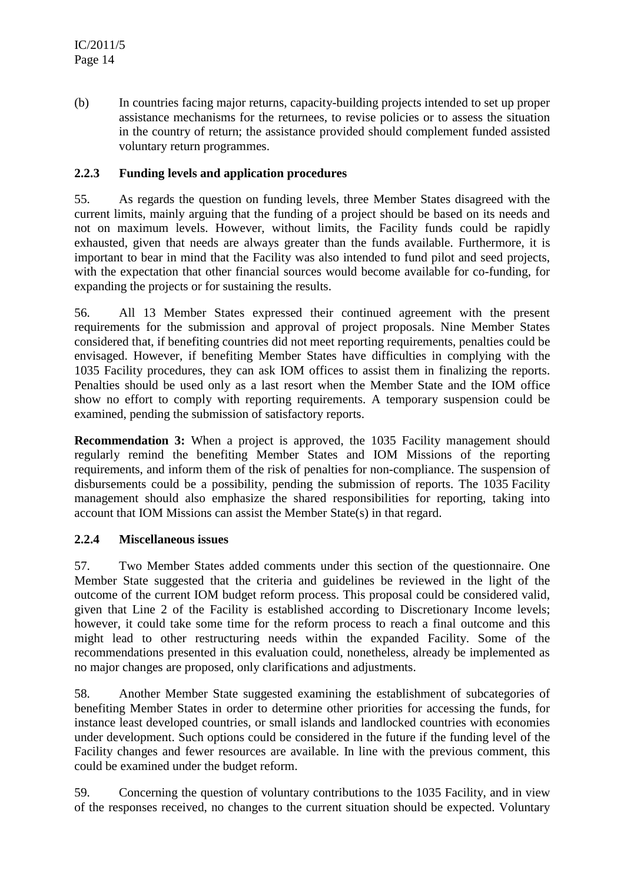(b) In countries facing major returns, capacity-building projects intended to set up proper assistance mechanisms for the returnees, to revise policies or to assess the situation in the country of return; the assistance provided should complement funded assisted voluntary return programmes.

### **2.2.3 Funding levels and application procedures**

55. As regards the question on funding levels, three Member States disagreed with the current limits, mainly arguing that the funding of a project should be based on its needs and not on maximum levels. However, without limits, the Facility funds could be rapidly exhausted, given that needs are always greater than the funds available. Furthermore, it is important to bear in mind that the Facility was also intended to fund pilot and seed projects, with the expectation that other financial sources would become available for co-funding, for expanding the projects or for sustaining the results.

56. All 13 Member States expressed their continued agreement with the present requirements for the submission and approval of project proposals. Nine Member States considered that, if benefiting countries did not meet reporting requirements, penalties could be envisaged. However, if benefiting Member States have difficulties in complying with the 1035 Facility procedures, they can ask IOM offices to assist them in finalizing the reports. Penalties should be used only as a last resort when the Member State and the IOM office show no effort to comply with reporting requirements. A temporary suspension could be examined, pending the submission of satisfactory reports.

**Recommendation 3:** When a project is approved, the 1035 Facility management should regularly remind the benefiting Member States and IOM Missions of the reporting requirements, and inform them of the risk of penalties for non-compliance. The suspension of disbursements could be a possibility, pending the submission of reports. The 1035 Facility management should also emphasize the shared responsibilities for reporting, taking into account that IOM Missions can assist the Member State(s) in that regard.

### **2.2.4 Miscellaneous issues**

57. Two Member States added comments under this section of the questionnaire. One Member State suggested that the criteria and guidelines be reviewed in the light of the outcome of the current IOM budget reform process. This proposal could be considered valid, given that Line 2 of the Facility is established according to Discretionary Income levels; however, it could take some time for the reform process to reach a final outcome and this might lead to other restructuring needs within the expanded Facility. Some of the recommendations presented in this evaluation could, nonetheless, already be implemented as no major changes are proposed, only clarifications and adjustments.

58. Another Member State suggested examining the establishment of subcategories of benefiting Member States in order to determine other priorities for accessing the funds, for instance least developed countries, or small islands and landlocked countries with economies under development. Such options could be considered in the future if the funding level of the Facility changes and fewer resources are available. In line with the previous comment, this could be examined under the budget reform.

59. Concerning the question of voluntary contributions to the 1035 Facility, and in view of the responses received, no changes to the current situation should be expected. Voluntary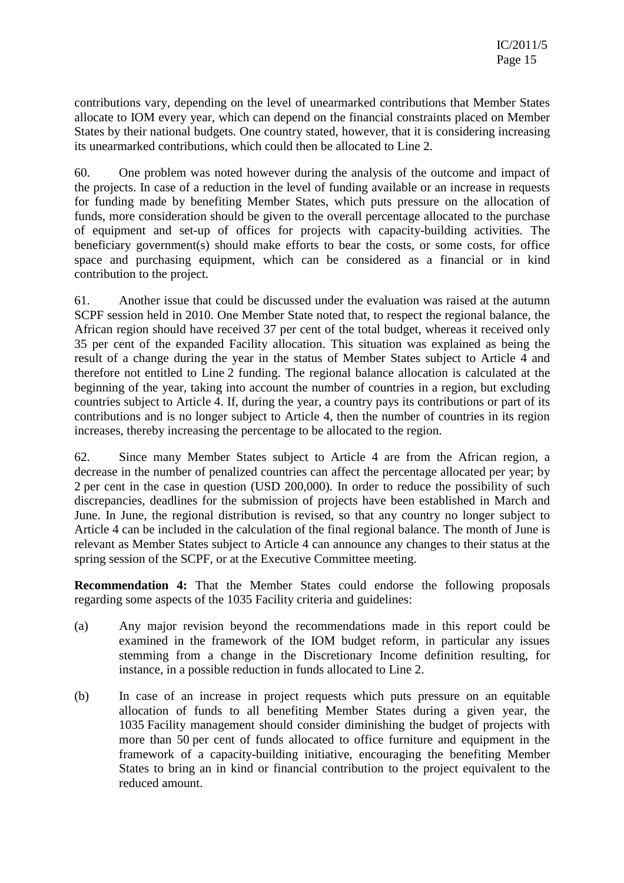contributions vary, depending on the level of unearmarked contributions that Member States allocate to IOM every year, which can depend on the financial constraints placed on Member States by their national budgets. One country stated, however, that it is considering increasing its unearmarked contributions, which could then be allocated to Line 2.

60. One problem was noted however during the analysis of the outcome and impact of the projects. In case of a reduction in the level of funding available or an increase in requests for funding made by benefiting Member States, which puts pressure on the allocation of funds, more consideration should be given to the overall percentage allocated to the purchase of equipment and set-up of offices for projects with capacity-building activities. The beneficiary government(s) should make efforts to bear the costs, or some costs, for office space and purchasing equipment, which can be considered as a financial or in kind contribution to the project.

61. Another issue that could be discussed under the evaluation was raised at the autumn SCPF session held in 2010. One Member State noted that, to respect the regional balance, the African region should have received 37 per cent of the total budget, whereas it received only 35 per cent of the expanded Facility allocation. This situation was explained as being the result of a change during the year in the status of Member States subject to Article 4 and therefore not entitled to Line 2 funding. The regional balance allocation is calculated at the beginning of the year, taking into account the number of countries in a region, but excluding countries subject to Article 4. If, during the year, a country pays its contributions or part of its contributions and is no longer subject to Article 4, then the number of countries in its region increases, thereby increasing the percentage to be allocated to the region.

62. Since many Member States subject to Article 4 are from the African region, a decrease in the number of penalized countries can affect the percentage allocated per year; by 2 per cent in the case in question (USD 200,000). In order to reduce the possibility of such discrepancies, deadlines for the submission of projects have been established in March and June. In June, the regional distribution is revised, so that any country no longer subject to Article 4 can be included in the calculation of the final regional balance. The month of June is relevant as Member States subject to Article 4 can announce any changes to their status at the spring session of the SCPF, or at the Executive Committee meeting.

**Recommendation 4:** That the Member States could endorse the following proposals regarding some aspects of the 1035 Facility criteria and guidelines:

- (a) Any major revision beyond the recommendations made in this report could be examined in the framework of the IOM budget reform, in particular any issues stemming from a change in the Discretionary Income definition resulting, for instance, in a possible reduction in funds allocated to Line 2.
- (b) In case of an increase in project requests which puts pressure on an equitable allocation of funds to all benefiting Member States during a given year, the 1035 Facility management should consider diminishing the budget of projects with more than 50 per cent of funds allocated to office furniture and equipment in the framework of a capacity-building initiative, encouraging the benefiting Member States to bring an in kind or financial contribution to the project equivalent to the reduced amount.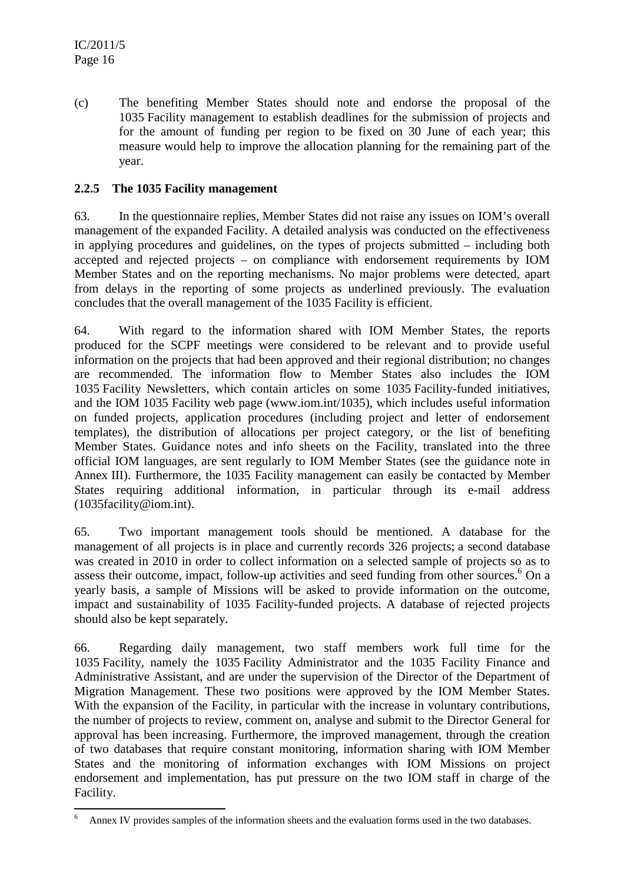(c) The benefiting Member States should note and endorse the proposal of the 1035 Facility management to establish deadlines for the submission of projects and for the amount of funding per region to be fixed on 30 June of each year; this measure would help to improve the allocation planning for the remaining part of the year.

### **2.2.5 The 1035 Facility management**

63. In the questionnaire replies, Member States did not raise any issues on IOM's overall management of the expanded Facility. A detailed analysis was conducted on the effectiveness in applying procedures and guidelines, on the types of projects submitted – including both accepted and rejected projects – on compliance with endorsement requirements by IOM Member States and on the reporting mechanisms. No major problems were detected, apart from delays in the reporting of some projects as underlined previously. The evaluation concludes that the overall management of the 1035 Facility is efficient.

64. With regard to the information shared with IOM Member States, the reports produced for the SCPF meetings were considered to be relevant and to provide useful information on the projects that had been approved and their regional distribution; no changes are recommended. The information flow to Member States also includes the IOM 1035 Facility Newsletters, which contain articles on some 1035 Facility-funded initiatives, and the IOM 1035 Facility web page (www.iom.int/1035), which includes useful information on funded projects, application procedures (including project and letter of endorsement templates), the distribution of allocations per project category, or the list of benefiting Member States. Guidance notes and info sheets on the Facility, translated into the three official IOM languages, are sent regularly to IOM Member States (see the guidance note in Annex III). Furthermore, the 1035 Facility management can easily be contacted by Member States requiring additional information, in particular through its e-mail address (1035facility@iom.int).

65. Two important management tools should be mentioned. A database for the management of all projects is in place and currently records 326 projects; a second database was created in 2010 in order to collect information on a selected sample of projects so as to assess their outcome, impact, follow-up activities and seed funding from other sources.<sup>6</sup> On a yearly basis, a sample of Missions will be asked to provide information on the outcome, impact and sustainability of 1035 Facility-funded projects. A database of rejected projects should also be kept separately.

66. Regarding daily management, two staff members work full time for the 1035 Facility, namely the 1035 Facility Administrator and the 1035 Facility Finance and Administrative Assistant, and are under the supervision of the Director of the Department of Migration Management. These two positions were approved by the IOM Member States. With the expansion of the Facility, in particular with the increase in voluntary contributions, the number of projects to review, comment on, analyse and submit to the Director General for approval has been increasing. Furthermore, the improved management, through the creation of two databases that require constant monitoring, information sharing with IOM Member States and the monitoring of information exchanges with IOM Missions on project endorsement and implementation, has put pressure on the two IOM staff in charge of the Facility.

 $\overline{a}$ 6 Annex IV provides samples of the information sheets and the evaluation forms used in the two databases.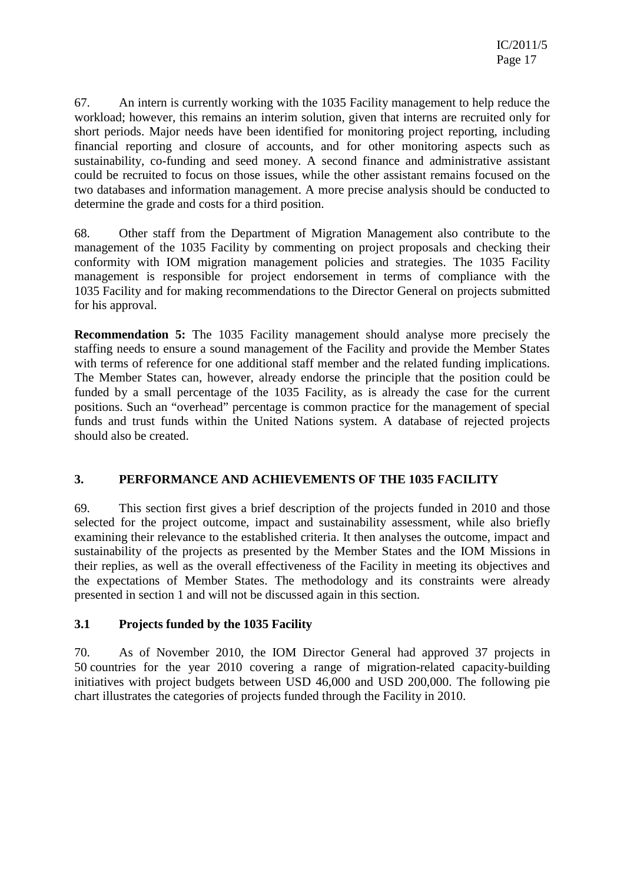67. An intern is currently working with the 1035 Facility management to help reduce the workload; however, this remains an interim solution, given that interns are recruited only for short periods. Major needs have been identified for monitoring project reporting, including financial reporting and closure of accounts, and for other monitoring aspects such as sustainability, co-funding and seed money. A second finance and administrative assistant could be recruited to focus on those issues, while the other assistant remains focused on the two databases and information management. A more precise analysis should be conducted to determine the grade and costs for a third position.

68. Other staff from the Department of Migration Management also contribute to the management of the 1035 Facility by commenting on project proposals and checking their conformity with IOM migration management policies and strategies. The 1035 Facility management is responsible for project endorsement in terms of compliance with the 1035 Facility and for making recommendations to the Director General on projects submitted for his approval.

**Recommendation 5:** The 1035 Facility management should analyse more precisely the staffing needs to ensure a sound management of the Facility and provide the Member States with terms of reference for one additional staff member and the related funding implications. The Member States can, however, already endorse the principle that the position could be funded by a small percentage of the 1035 Facility, as is already the case for the current positions. Such an "overhead" percentage is common practice for the management of special funds and trust funds within the United Nations system. A database of rejected projects should also be created.

## **3. PERFORMANCE AND ACHIEVEMENTS OF THE 1035 FACILITY**

69. This section first gives a brief description of the projects funded in 2010 and those selected for the project outcome, impact and sustainability assessment, while also briefly examining their relevance to the established criteria. It then analyses the outcome, impact and sustainability of the projects as presented by the Member States and the IOM Missions in their replies, as well as the overall effectiveness of the Facility in meeting its objectives and the expectations of Member States. The methodology and its constraints were already presented in section 1 and will not be discussed again in this section.

### **3.1 Projects funded by the 1035 Facility**

70. As of November 2010, the IOM Director General had approved 37 projects in 50 countries for the year 2010 covering a range of migration-related capacity-building initiatives with project budgets between USD 46,000 and USD 200,000. The following pie chart illustrates the categories of projects funded through the Facility in 2010.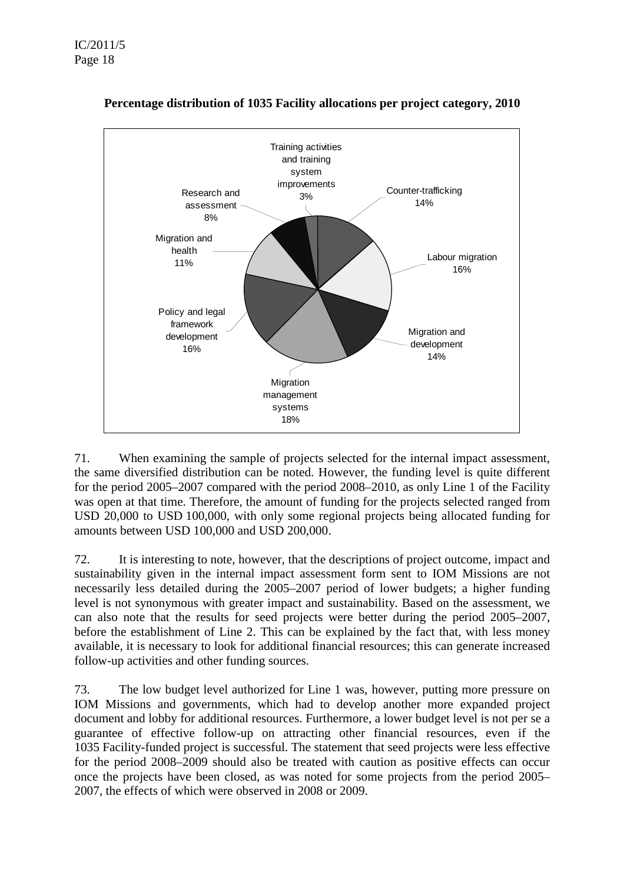

### **Percentage distribution of 1035 Facility allocations per project category, 2010**

71. When examining the sample of projects selected for the internal impact assessment, the same diversified distribution can be noted. However, the funding level is quite different for the period 2005–2007 compared with the period 2008–2010, as only Line 1 of the Facility was open at that time. Therefore, the amount of funding for the projects selected ranged from USD 20,000 to USD 100,000, with only some regional projects being allocated funding for amounts between USD 100,000 and USD 200,000.

72. It is interesting to note, however, that the descriptions of project outcome, impact and sustainability given in the internal impact assessment form sent to IOM Missions are not necessarily less detailed during the 2005–2007 period of lower budgets; a higher funding level is not synonymous with greater impact and sustainability. Based on the assessment, we can also note that the results for seed projects were better during the period 2005–2007, before the establishment of Line 2. This can be explained by the fact that, with less money available, it is necessary to look for additional financial resources; this can generate increased follow-up activities and other funding sources.

73. The low budget level authorized for Line 1 was, however, putting more pressure on IOM Missions and governments, which had to develop another more expanded project document and lobby for additional resources. Furthermore, a lower budget level is not per se a guarantee of effective follow-up on attracting other financial resources, even if the 1035 Facility-funded project is successful. The statement that seed projects were less effective for the period 2008–2009 should also be treated with caution as positive effects can occur once the projects have been closed, as was noted for some projects from the period 2005– 2007, the effects of which were observed in 2008 or 2009.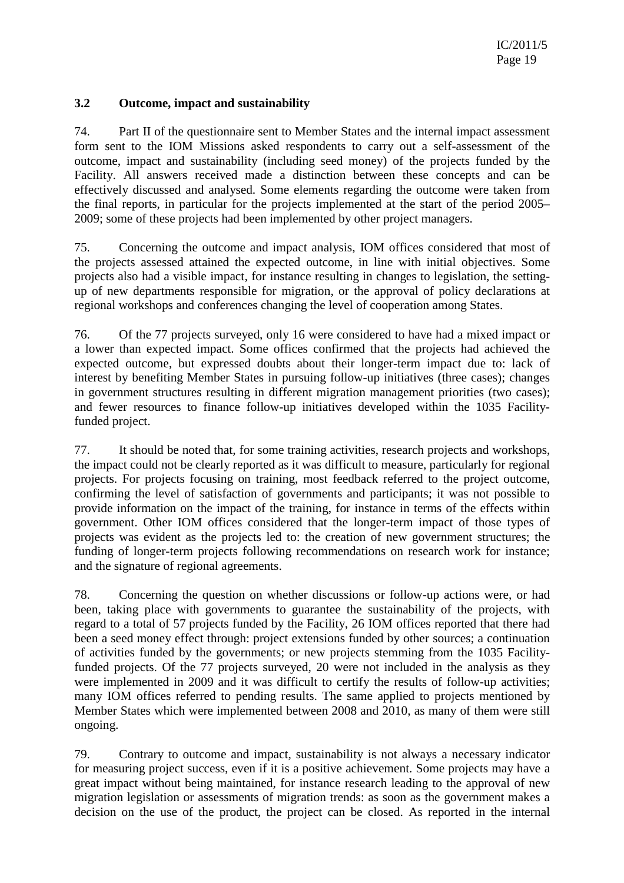### **3.2 Outcome, impact and sustainability**

74. Part II of the questionnaire sent to Member States and the internal impact assessment form sent to the IOM Missions asked respondents to carry out a self-assessment of the outcome, impact and sustainability (including seed money) of the projects funded by the Facility. All answers received made a distinction between these concepts and can be effectively discussed and analysed. Some elements regarding the outcome were taken from the final reports, in particular for the projects implemented at the start of the period 2005– 2009; some of these projects had been implemented by other project managers.

75. Concerning the outcome and impact analysis, IOM offices considered that most of the projects assessed attained the expected outcome, in line with initial objectives. Some projects also had a visible impact, for instance resulting in changes to legislation, the settingup of new departments responsible for migration, or the approval of policy declarations at regional workshops and conferences changing the level of cooperation among States.

76. Of the 77 projects surveyed, only 16 were considered to have had a mixed impact or a lower than expected impact. Some offices confirmed that the projects had achieved the expected outcome, but expressed doubts about their longer-term impact due to: lack of interest by benefiting Member States in pursuing follow-up initiatives (three cases); changes in government structures resulting in different migration management priorities (two cases); and fewer resources to finance follow-up initiatives developed within the 1035 Facilityfunded project.

77. It should be noted that, for some training activities, research projects and workshops, the impact could not be clearly reported as it was difficult to measure, particularly for regional projects. For projects focusing on training, most feedback referred to the project outcome, confirming the level of satisfaction of governments and participants; it was not possible to provide information on the impact of the training, for instance in terms of the effects within government. Other IOM offices considered that the longer-term impact of those types of projects was evident as the projects led to: the creation of new government structures; the funding of longer-term projects following recommendations on research work for instance; and the signature of regional agreements.

78. Concerning the question on whether discussions or follow-up actions were, or had been, taking place with governments to guarantee the sustainability of the projects, with regard to a total of 57 projects funded by the Facility, 26 IOM offices reported that there had been a seed money effect through: project extensions funded by other sources; a continuation of activities funded by the governments; or new projects stemming from the 1035 Facilityfunded projects. Of the 77 projects surveyed, 20 were not included in the analysis as they were implemented in 2009 and it was difficult to certify the results of follow-up activities; many IOM offices referred to pending results. The same applied to projects mentioned by Member States which were implemented between 2008 and 2010, as many of them were still ongoing.

79. Contrary to outcome and impact, sustainability is not always a necessary indicator for measuring project success, even if it is a positive achievement. Some projects may have a great impact without being maintained, for instance research leading to the approval of new migration legislation or assessments of migration trends: as soon as the government makes a decision on the use of the product, the project can be closed. As reported in the internal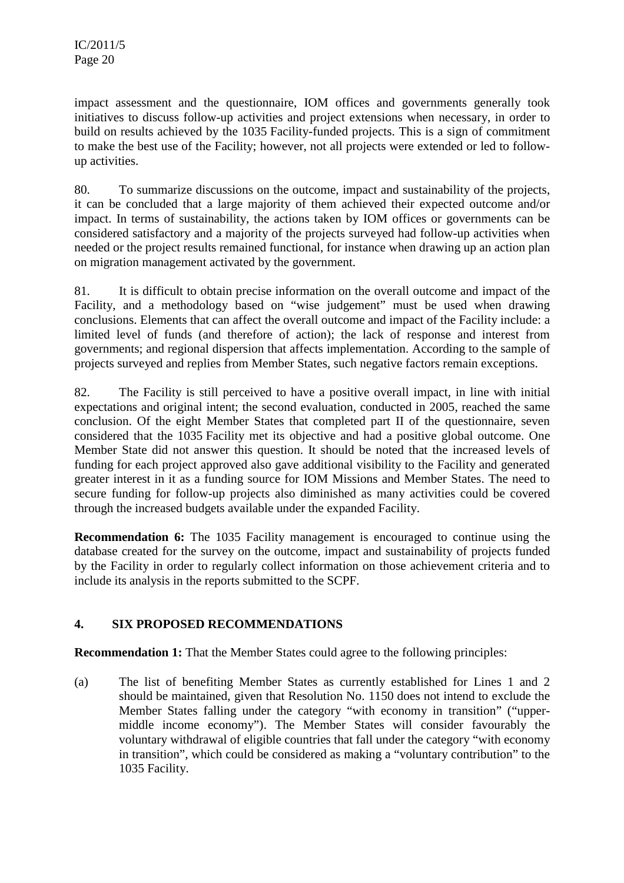impact assessment and the questionnaire, IOM offices and governments generally took initiatives to discuss follow-up activities and project extensions when necessary, in order to build on results achieved by the 1035 Facility-funded projects. This is a sign of commitment to make the best use of the Facility; however, not all projects were extended or led to followup activities.

80. To summarize discussions on the outcome, impact and sustainability of the projects, it can be concluded that a large majority of them achieved their expected outcome and/or impact. In terms of sustainability, the actions taken by IOM offices or governments can be considered satisfactory and a majority of the projects surveyed had follow-up activities when needed or the project results remained functional, for instance when drawing up an action plan on migration management activated by the government.

81. It is difficult to obtain precise information on the overall outcome and impact of the Facility, and a methodology based on "wise judgement" must be used when drawing conclusions. Elements that can affect the overall outcome and impact of the Facility include: a limited level of funds (and therefore of action); the lack of response and interest from governments; and regional dispersion that affects implementation. According to the sample of projects surveyed and replies from Member States, such negative factors remain exceptions.

82. The Facility is still perceived to have a positive overall impact, in line with initial expectations and original intent; the second evaluation, conducted in 2005, reached the same conclusion. Of the eight Member States that completed part II of the questionnaire, seven considered that the 1035 Facility met its objective and had a positive global outcome. One Member State did not answer this question. It should be noted that the increased levels of funding for each project approved also gave additional visibility to the Facility and generated greater interest in it as a funding source for IOM Missions and Member States. The need to secure funding for follow-up projects also diminished as many activities could be covered through the increased budgets available under the expanded Facility.

**Recommendation 6:** The 1035 Facility management is encouraged to continue using the database created for the survey on the outcome, impact and sustainability of projects funded by the Facility in order to regularly collect information on those achievement criteria and to include its analysis in the reports submitted to the SCPF.

## **4. SIX PROPOSED RECOMMENDATIONS**

**Recommendation 1:** That the Member States could agree to the following principles:

(a) The list of benefiting Member States as currently established for Lines 1 and 2 should be maintained, given that Resolution No. 1150 does not intend to exclude the Member States falling under the category "with economy in transition" ("uppermiddle income economy"). The Member States will consider favourably the voluntary withdrawal of eligible countries that fall under the category "with economy in transition", which could be considered as making a "voluntary contribution" to the 1035 Facility.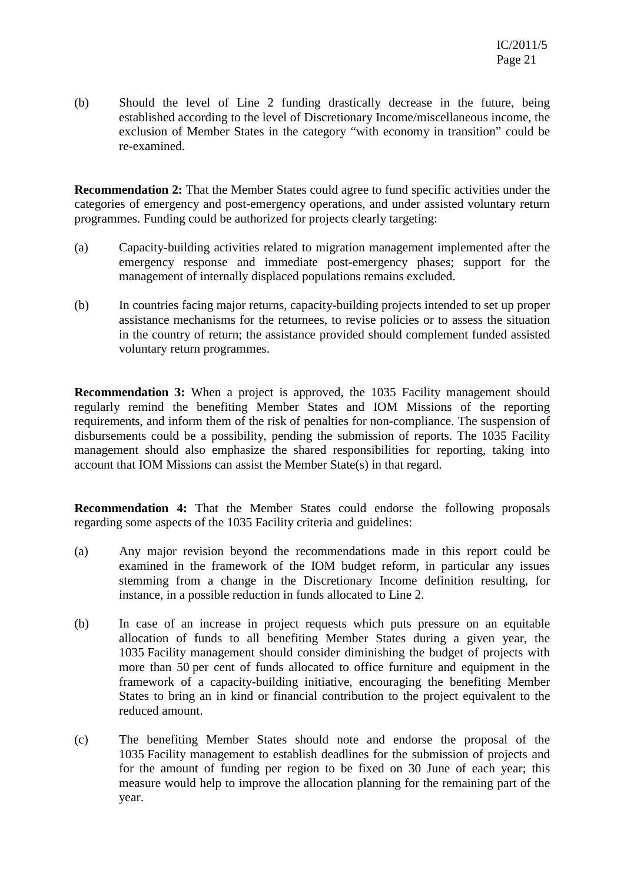(b) Should the level of Line 2 funding drastically decrease in the future, being established according to the level of Discretionary Income/miscellaneous income, the exclusion of Member States in the category "with economy in transition" could be re-examined.

**Recommendation 2:** That the Member States could agree to fund specific activities under the categories of emergency and post-emergency operations, and under assisted voluntary return programmes. Funding could be authorized for projects clearly targeting:

- (a) Capacity-building activities related to migration management implemented after the emergency response and immediate post-emergency phases; support for the management of internally displaced populations remains excluded.
- (b) In countries facing major returns, capacity-building projects intended to set up proper assistance mechanisms for the returnees, to revise policies or to assess the situation in the country of return; the assistance provided should complement funded assisted voluntary return programmes.

**Recommendation 3:** When a project is approved, the 1035 Facility management should regularly remind the benefiting Member States and IOM Missions of the reporting requirements, and inform them of the risk of penalties for non-compliance. The suspension of disbursements could be a possibility, pending the submission of reports. The 1035 Facility management should also emphasize the shared responsibilities for reporting, taking into account that IOM Missions can assist the Member State(s) in that regard.

**Recommendation 4:** That the Member States could endorse the following proposals regarding some aspects of the 1035 Facility criteria and guidelines:

- (a) Any major revision beyond the recommendations made in this report could be examined in the framework of the IOM budget reform, in particular any issues stemming from a change in the Discretionary Income definition resulting, for instance, in a possible reduction in funds allocated to Line 2.
- (b) In case of an increase in project requests which puts pressure on an equitable allocation of funds to all benefiting Member States during a given year, the 1035 Facility management should consider diminishing the budget of projects with more than 50 per cent of funds allocated to office furniture and equipment in the framework of a capacity-building initiative, encouraging the benefiting Member States to bring an in kind or financial contribution to the project equivalent to the reduced amount.
- (c) The benefiting Member States should note and endorse the proposal of the 1035 Facility management to establish deadlines for the submission of projects and for the amount of funding per region to be fixed on 30 June of each year; this measure would help to improve the allocation planning for the remaining part of the year.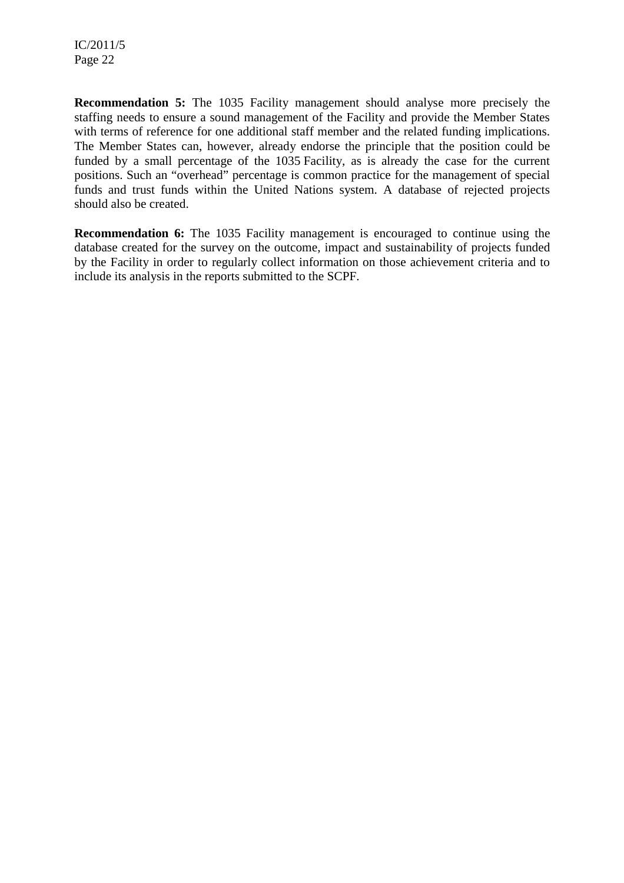**Recommendation 5:** The 1035 Facility management should analyse more precisely the staffing needs to ensure a sound management of the Facility and provide the Member States with terms of reference for one additional staff member and the related funding implications. The Member States can, however, already endorse the principle that the position could be funded by a small percentage of the 1035 Facility, as is already the case for the current positions. Such an "overhead" percentage is common practice for the management of special funds and trust funds within the United Nations system. A database of rejected projects should also be created.

**Recommendation 6:** The 1035 Facility management is encouraged to continue using the database created for the survey on the outcome, impact and sustainability of projects funded by the Facility in order to regularly collect information on those achievement criteria and to include its analysis in the reports submitted to the SCPF.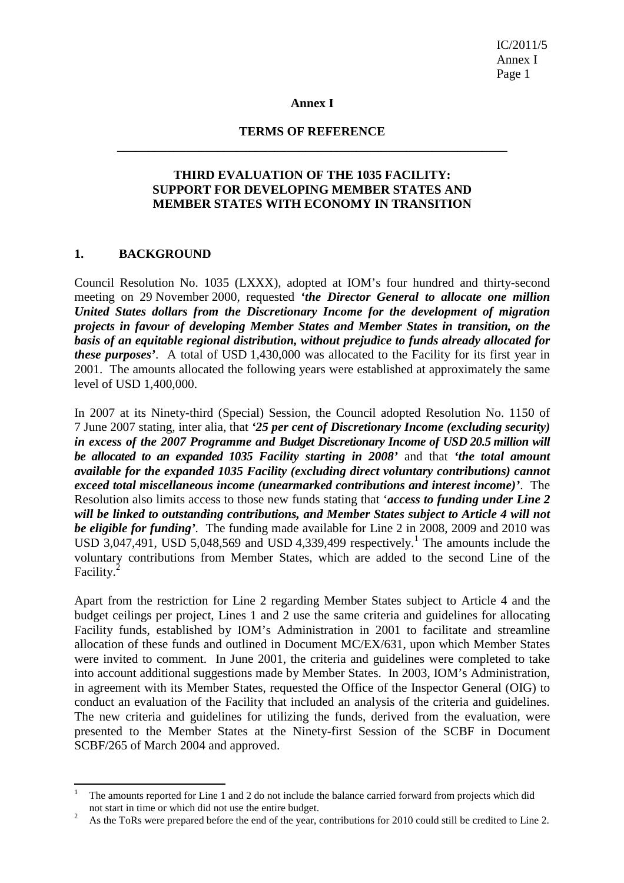IC/2011/5 Annex I Page 1

#### **Annex I**

#### **TERMS OF REFERENCE \_\_\_\_\_\_\_\_\_\_\_\_\_\_\_\_\_\_\_\_\_\_\_\_\_\_\_\_\_\_\_\_\_\_\_\_\_\_\_\_\_\_\_\_\_\_\_\_\_\_\_\_\_\_\_\_\_\_\_\_\_\_**

### **THIRD EVALUATION OF THE 1035 FACILITY: SUPPORT FOR DEVELOPING MEMBER STATES AND MEMBER STATES WITH ECONOMY IN TRANSITION**

#### **1. BACKGROUND**

l

Council Resolution No. 1035 (LXXX), adopted at IOM's four hundred and thirty-second meeting on 29 November 2000, requested *'the Director General to allocate one million United States dollars from the Discretionary Income for the development of migration projects in favour of developing Member States and Member States in transition, on the basis of an equitable regional distribution, without prejudice to funds already allocated for these purposes'*. A total of USD 1,430,000 was allocated to the Facility for its first year in 2001. The amounts allocated the following years were established at approximately the same level of USD 1,400,000.

In 2007 at its Ninety-third (Special) Session, the Council adopted Resolution No. 1150 of 7 June 2007 stating, inter alia, that *'25 per cent of Discretionary Income (excluding security) in excess of the 2007 Programme and Budget Discretionary Income of USD 20.5 million will be allocated to an expanded 1035 Facility starting in 2008'* and that *'the total amount available for the expanded 1035 Facility (excluding direct voluntary contributions) cannot exceed total miscellaneous income (unearmarked contributions and interest income)'*. The Resolution also limits access to those new funds stating that '*access to funding under Line 2 will be linked to outstanding contributions, and Member States subject to Article 4 will not be eligible for funding'.* The funding made available for Line 2 in 2008, 2009 and 2010 was USD 3,047,491, USD 5,048,569 and USD 4,339,499 respectively.<sup>1</sup> The amounts include the voluntary contributions from Member States, which are added to the second Line of the Facility.<sup>2</sup>

Apart from the restriction for Line 2 regarding Member States subject to Article 4 and the budget ceilings per project, Lines 1 and 2 use the same criteria and guidelines for allocating Facility funds, established by IOM's Administration in 2001 to facilitate and streamline allocation of these funds and outlined in Document MC/EX/631, upon which Member States were invited to comment. In June 2001, the criteria and guidelines were completed to take into account additional suggestions made by Member States. In 2003, IOM's Administration, in agreement with its Member States, requested the Office of the Inspector General (OIG) to conduct an evaluation of the Facility that included an analysis of the criteria and guidelines. The new criteria and guidelines for utilizing the funds, derived from the evaluation, were presented to the Member States at the Ninety-first Session of the SCBF in Document SCBF/265 of March 2004 and approved.

<sup>1</sup> The amounts reported for Line 1 and 2 do not include the balance carried forward from projects which did not start in time or which did not use the entire budget. 2

As the ToRs were prepared before the end of the year, contributions for 2010 could still be credited to Line 2.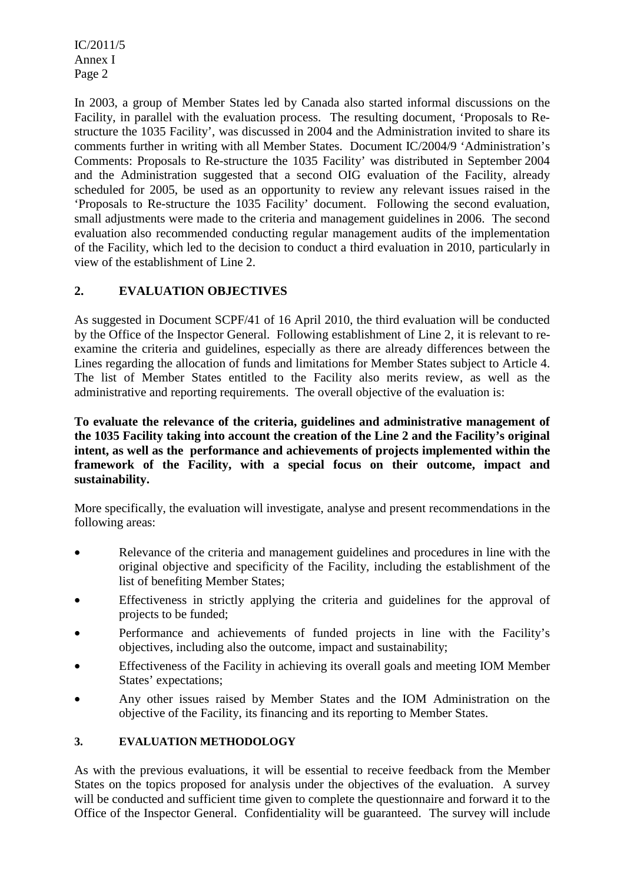IC/2011/5 Annex I Page 2

In 2003, a group of Member States led by Canada also started informal discussions on the Facility, in parallel with the evaluation process. The resulting document, 'Proposals to Restructure the 1035 Facility', was discussed in 2004 and the Administration invited to share its comments further in writing with all Member States. Document IC/2004/9 'Administration's Comments: Proposals to Re-structure the 1035 Facility' was distributed in September 2004 and the Administration suggested that a second OIG evaluation of the Facility, already scheduled for 2005, be used as an opportunity to review any relevant issues raised in the 'Proposals to Re-structure the 1035 Facility' document. Following the second evaluation, small adjustments were made to the criteria and management guidelines in 2006. The second evaluation also recommended conducting regular management audits of the implementation of the Facility, which led to the decision to conduct a third evaluation in 2010, particularly in view of the establishment of Line 2.

### **2. EVALUATION OBJECTIVES**

As suggested in Document SCPF/41 of 16 April 2010, the third evaluation will be conducted by the Office of the Inspector General. Following establishment of Line 2, it is relevant to reexamine the criteria and guidelines, especially as there are already differences between the Lines regarding the allocation of funds and limitations for Member States subject to Article 4. The list of Member States entitled to the Facility also merits review, as well as the administrative and reporting requirements. The overall objective of the evaluation is:

**To evaluate the relevance of the criteria, guidelines and administrative management of the 1035 Facility taking into account the creation of the Line 2 and the Facility's original intent, as well as the performance and achievements of projects implemented within the framework of the Facility, with a special focus on their outcome, impact and sustainability.** 

More specifically, the evaluation will investigate, analyse and present recommendations in the following areas:

- Relevance of the criteria and management guidelines and procedures in line with the original objective and specificity of the Facility, including the establishment of the list of benefiting Member States;
- Effectiveness in strictly applying the criteria and guidelines for the approval of projects to be funded;
- Performance and achievements of funded projects in line with the Facility's objectives, including also the outcome, impact and sustainability;
- Effectiveness of the Facility in achieving its overall goals and meeting IOM Member States' expectations;
- Any other issues raised by Member States and the IOM Administration on the objective of the Facility, its financing and its reporting to Member States.

### **3. EVALUATION METHODOLOGY**

As with the previous evaluations, it will be essential to receive feedback from the Member States on the topics proposed for analysis under the objectives of the evaluation. A survey will be conducted and sufficient time given to complete the questionnaire and forward it to the Office of the Inspector General. Confidentiality will be guaranteed. The survey will include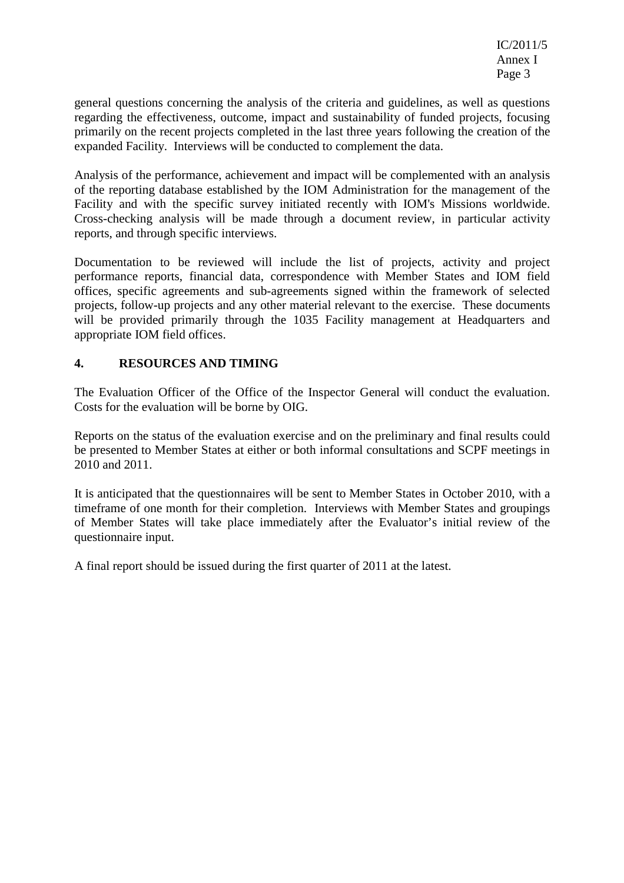general questions concerning the analysis of the criteria and guidelines, as well as questions regarding the effectiveness, outcome, impact and sustainability of funded projects, focusing primarily on the recent projects completed in the last three years following the creation of the expanded Facility. Interviews will be conducted to complement the data.

Analysis of the performance, achievement and impact will be complemented with an analysis of the reporting database established by the IOM Administration for the management of the Facility and with the specific survey initiated recently with IOM's Missions worldwide. Cross-checking analysis will be made through a document review, in particular activity reports, and through specific interviews.

Documentation to be reviewed will include the list of projects, activity and project performance reports, financial data, correspondence with Member States and IOM field offices, specific agreements and sub-agreements signed within the framework of selected projects, follow-up projects and any other material relevant to the exercise. These documents will be provided primarily through the 1035 Facility management at Headquarters and appropriate IOM field offices.

### **4. RESOURCES AND TIMING**

The Evaluation Officer of the Office of the Inspector General will conduct the evaluation. Costs for the evaluation will be borne by OIG.

Reports on the status of the evaluation exercise and on the preliminary and final results could be presented to Member States at either or both informal consultations and SCPF meetings in 2010 and 2011.

It is anticipated that the questionnaires will be sent to Member States in October 2010, with a timeframe of one month for their completion. Interviews with Member States and groupings of Member States will take place immediately after the Evaluator's initial review of the questionnaire input.

A final report should be issued during the first quarter of 2011 at the latest.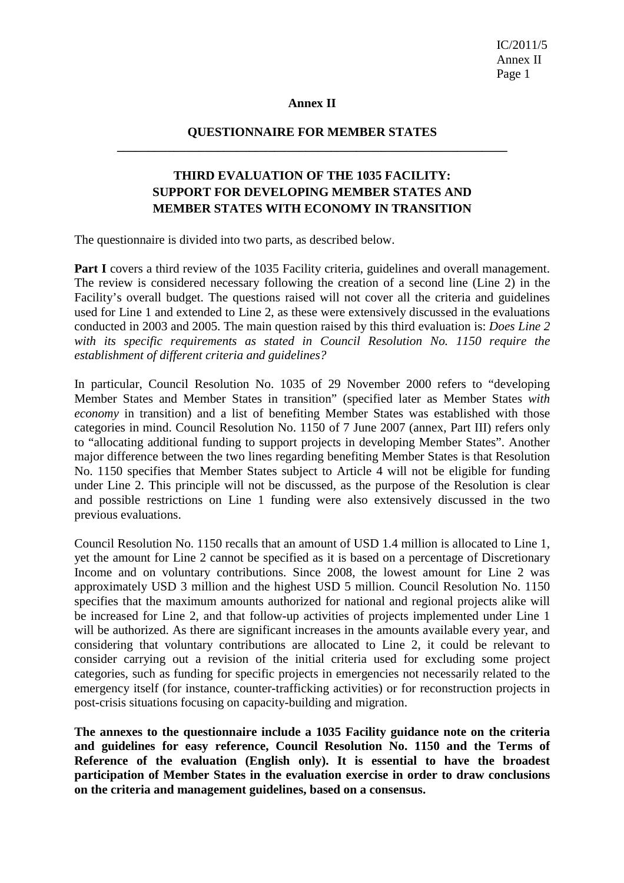IC/2011/5 Annex II Page 1

#### **Annex II**

#### **QUESTIONNAIRE FOR MEMBER STATES \_\_\_\_\_\_\_\_\_\_\_\_\_\_\_\_\_\_\_\_\_\_\_\_\_\_\_\_\_\_\_\_\_\_\_\_\_\_\_\_\_\_\_\_\_\_\_\_\_\_\_\_\_\_\_\_\_\_\_\_\_\_**

### **THIRD EVALUATION OF THE 1035 FACILITY: SUPPORT FOR DEVELOPING MEMBER STATES AND MEMBER STATES WITH ECONOMY IN TRANSITION**

The questionnaire is divided into two parts, as described below.

**Part I** covers a third review of the 1035 Facility criteria, guidelines and overall management. The review is considered necessary following the creation of a second line (Line 2) in the Facility's overall budget. The questions raised will not cover all the criteria and guidelines used for Line 1 and extended to Line 2, as these were extensively discussed in the evaluations conducted in 2003 and 2005. The main question raised by this third evaluation is: *Does Line 2 with its specific requirements as stated in Council Resolution No. 1150 require the establishment of different criteria and guidelines?* 

In particular, Council Resolution No. 1035 of 29 November 2000 refers to "developing Member States and Member States in transition" (specified later as Member States *with economy* in transition) and a list of benefiting Member States was established with those categories in mind. Council Resolution No. 1150 of 7 June 2007 (annex, Part III) refers only to "allocating additional funding to support projects in developing Member States". Another major difference between the two lines regarding benefiting Member States is that Resolution No. 1150 specifies that Member States subject to Article 4 will not be eligible for funding under Line 2. This principle will not be discussed, as the purpose of the Resolution is clear and possible restrictions on Line 1 funding were also extensively discussed in the two previous evaluations.

Council Resolution No. 1150 recalls that an amount of USD 1.4 million is allocated to Line 1, yet the amount for Line 2 cannot be specified as it is based on a percentage of Discretionary Income and on voluntary contributions. Since 2008, the lowest amount for Line 2 was approximately USD 3 million and the highest USD 5 million. Council Resolution No. 1150 specifies that the maximum amounts authorized for national and regional projects alike will be increased for Line 2, and that follow-up activities of projects implemented under Line 1 will be authorized. As there are significant increases in the amounts available every year, and considering that voluntary contributions are allocated to Line 2, it could be relevant to consider carrying out a revision of the initial criteria used for excluding some project categories, such as funding for specific projects in emergencies not necessarily related to the emergency itself (for instance, counter-trafficking activities) or for reconstruction projects in post-crisis situations focusing on capacity-building and migration.

**The annexes to the questionnaire include a 1035 Facility guidance note on the criteria and guidelines for easy reference, Council Resolution No. 1150 and the Terms of Reference of the evaluation (English only). It is essential to have the broadest participation of Member States in the evaluation exercise in order to draw conclusions on the criteria and management guidelines, based on a consensus.**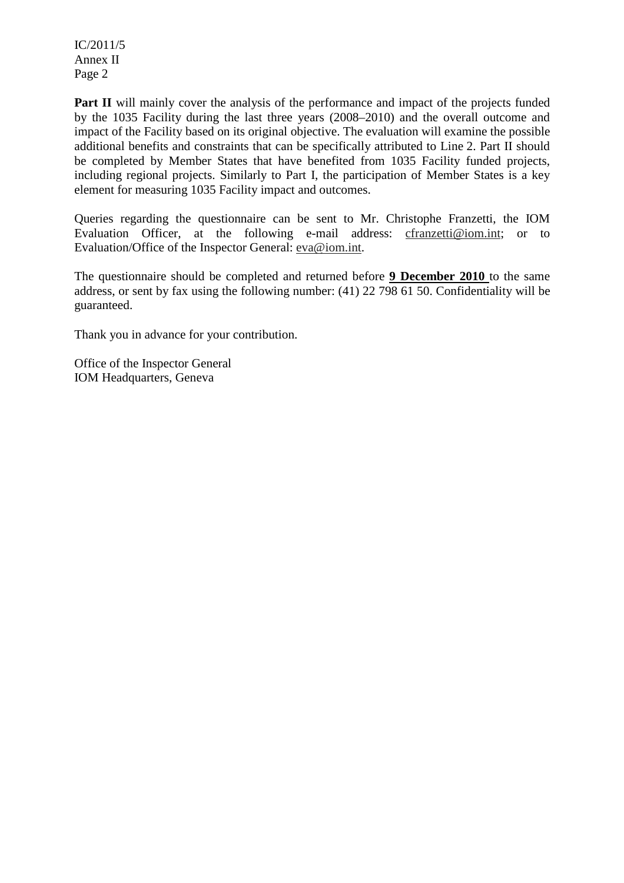IC/2011/5 Annex II Page 2

**Part II** will mainly cover the analysis of the performance and impact of the projects funded by the 1035 Facility during the last three years (2008–2010) and the overall outcome and impact of the Facility based on its original objective. The evaluation will examine the possible additional benefits and constraints that can be specifically attributed to Line 2. Part II should be completed by Member States that have benefited from 1035 Facility funded projects, including regional projects. Similarly to Part I, the participation of Member States is a key element for measuring 1035 Facility impact and outcomes.

Queries regarding the questionnaire can be sent to Mr. Christophe Franzetti, the IOM Evaluation Officer, at the following e-mail address: cfranzetti@iom.int; or to Evaluation/Office of the Inspector General: eva@iom.int.

The questionnaire should be completed and returned before **9 December 2010** to the same address, or sent by fax using the following number: (41) 22 798 61 50. Confidentiality will be guaranteed.

Thank you in advance for your contribution.

Office of the Inspector General IOM Headquarters, Geneva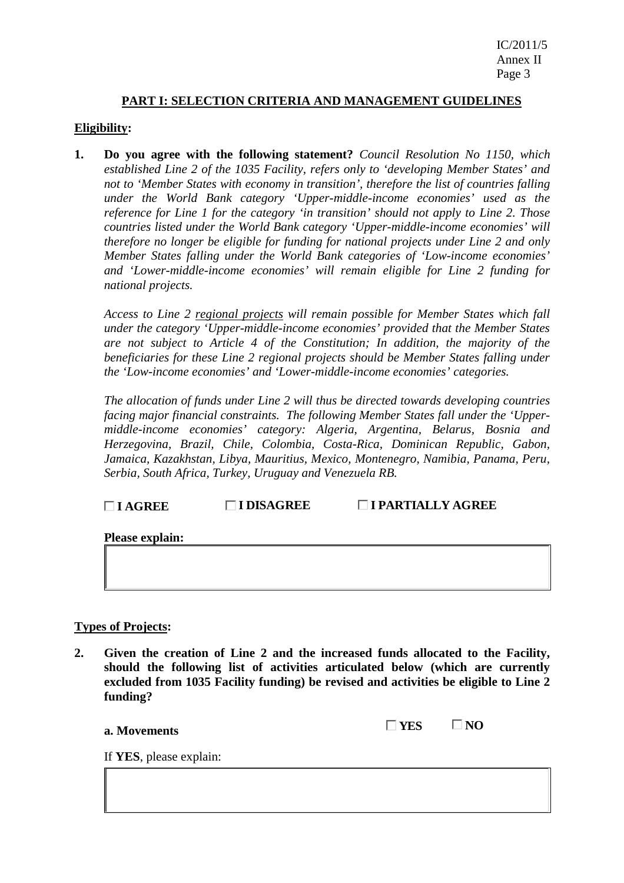### **PART I: SELECTION CRITERIA AND MANAGEMENT GUIDELINES**

### **Eligibility:**

**1. Do you agree with the following statement?** *Council Resolution No 1150, which established Line 2 of the 1035 Facility, refers only to 'developing Member States' and not to 'Member States with economy in transition', therefore the list of countries falling under the World Bank category 'Upper-middle-income economies' used as the reference for Line 1 for the category 'in transition' should not apply to Line 2. Those countries listed under the World Bank category 'Upper-middle-income economies' will therefore no longer be eligible for funding for national projects under Line 2 and only Member States falling under the World Bank categories of 'Low-income economies' and 'Lower-middle-income economies' will remain eligible for Line 2 funding for national projects.* 

*Access to Line 2 regional projects will remain possible for Member States which fall under the category 'Upper-middle-income economies' provided that the Member States are not subject to Article 4 of the Constitution; In addition, the majority of the beneficiaries for these Line 2 regional projects should be Member States falling under the 'Low-income economies' and 'Lower-middle-income economies' categories.* 

*The allocation of funds under Line 2 will thus be directed towards developing countries facing major financial constraints. The following Member States fall under the 'Uppermiddle-income economies' category: Algeria, Argentina, Belarus, Bosnia and Herzegovina, Brazil, Chile, Colombia, Costa-Rica, Dominican Republic, Gabon, Jamaica, Kazakhstan, Libya, Mauritius, Mexico, Montenegro, Namibia, Panama, Peru, Serbia, South Africa, Turkey, Uruguay and Venezuela RB.* 

### **I AGREE I DISAGREE I PARTIALLY AGREE**

**Please explain:** 

#### **Types of Projects:**

**2. Given the creation of Line 2 and the increased funds allocated to the Facility, should the following list of activities articulated below (which are currently excluded from 1035 Facility funding) be revised and activities be eligible to Line 2 funding?** 

| YES | VО |
|-----|----|
|-----|----|

If **YES**, please explain:

**a.** Movements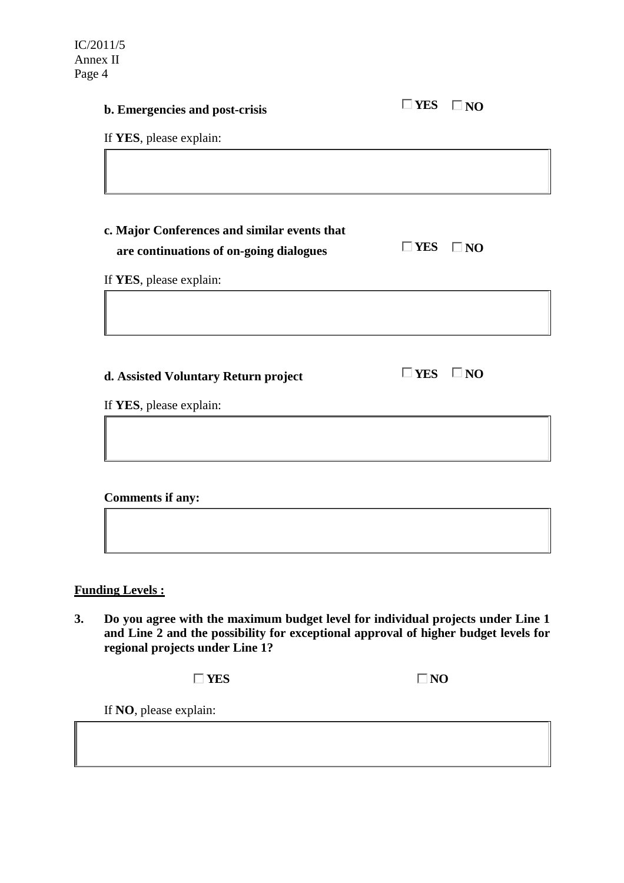| b. Emergencies and post-crisis                                                          | $\square$ YES | $\square$ NO |
|-----------------------------------------------------------------------------------------|---------------|--------------|
| If YES, please explain:                                                                 |               |              |
|                                                                                         |               |              |
| c. Major Conferences and similar events that<br>are continuations of on-going dialogues | $\square$ YES | $\square$ NO |
| If YES, please explain:                                                                 |               |              |
|                                                                                         |               |              |
| d. Assisted Voluntary Return project                                                    | $\square$ YES | $\square$ NO |
| If YES, please explain:                                                                 |               |              |
|                                                                                         |               |              |
|                                                                                         |               |              |
| <b>Comments if any:</b>                                                                 |               |              |
|                                                                                         |               |              |

### **Funding Levels :**

**3. Do you agree with the maximum budget level for individual projects under Line 1 and Line 2 and the possibility for exceptional approval of higher budget levels for regional projects under Line 1?** 

**NO NO** 

If **NO**, please explain: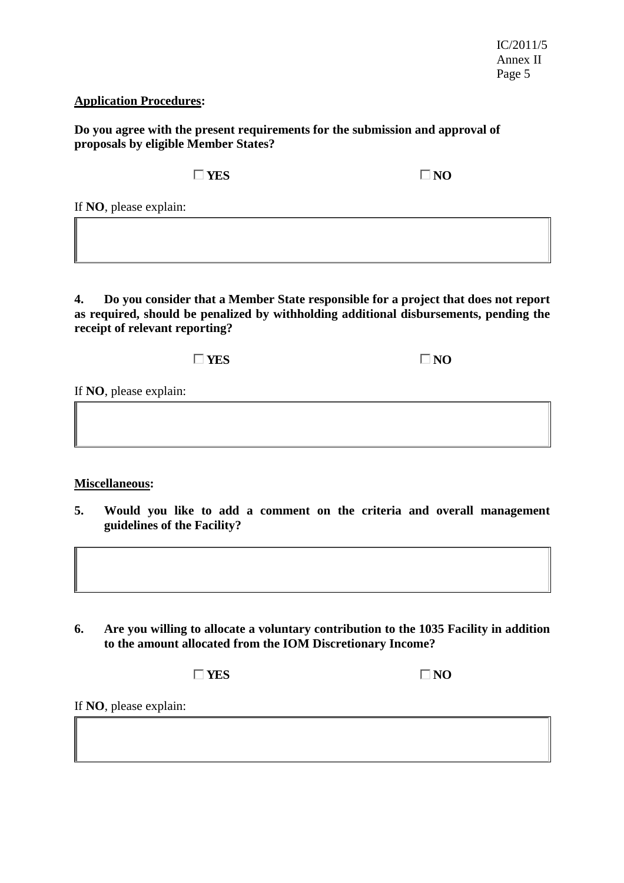### **Application Procedures:**

**Do you agree with the present requirements for the submission and approval of proposals by eligible Member States?** 

 $\Box$  YES  $\Box$  NO

If **NO**, please explain:

**4. Do you consider that a Member State responsible for a project that does not report as required, should be penalized by withholding additional disbursements, pending the receipt of relevant reporting?** 

**NO NO** 

If **NO**, please explain:

### **Miscellaneous:**

**5. Would you like to add a comment on the criteria and overall management guidelines of the Facility?** 

**6. Are you willing to allocate a voluntary contribution to the 1035 Facility in addition to the amount allocated from the IOM Discretionary Income?** 

**NO NO** 

If **NO**, please explain: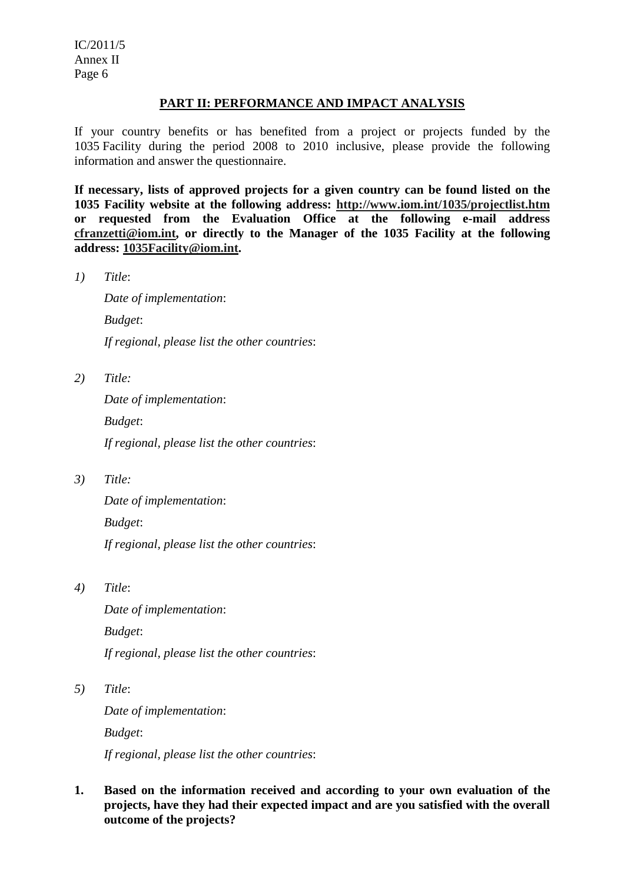IC/2011/5 Annex II Page 6

### **PART II: PERFORMANCE AND IMPACT ANALYSIS**

If your country benefits or has benefited from a project or projects funded by the 1035 Facility during the period 2008 to 2010 inclusive, please provide the following information and answer the questionnaire.

**If necessary, lists of approved projects for a given country can be found listed on the 1035 Facility website at the following address: http://www.iom.int/1035/projectlist.htm or requested from the Evaluation Office at the following e-mail address cfranzetti@iom.int, or directly to the Manager of the 1035 Facility at the following address: 1035Facility@iom.int.** 

*1) Title*:

 *Date of implementation*:  *Budget*:  *If regional, please list the other countries*:

*2) Title:* 

 *Date of implementation*:  *Budget*:  *If regional, please list the other countries*:

*3) Title:* 

 *Date of implementation*:  *Budget*:  *If regional, please list the other countries*:

*4) Title*:

 *Date of implementation*:  *Budget*:  *If regional, please list the other countries*:

*5) Title*:

 *Date of implementation*:  *Budget*:

 *If regional, please list the other countries*:

**1. Based on the information received and according to your own evaluation of the projects, have they had their expected impact and are you satisfied with the overall outcome of the projects?**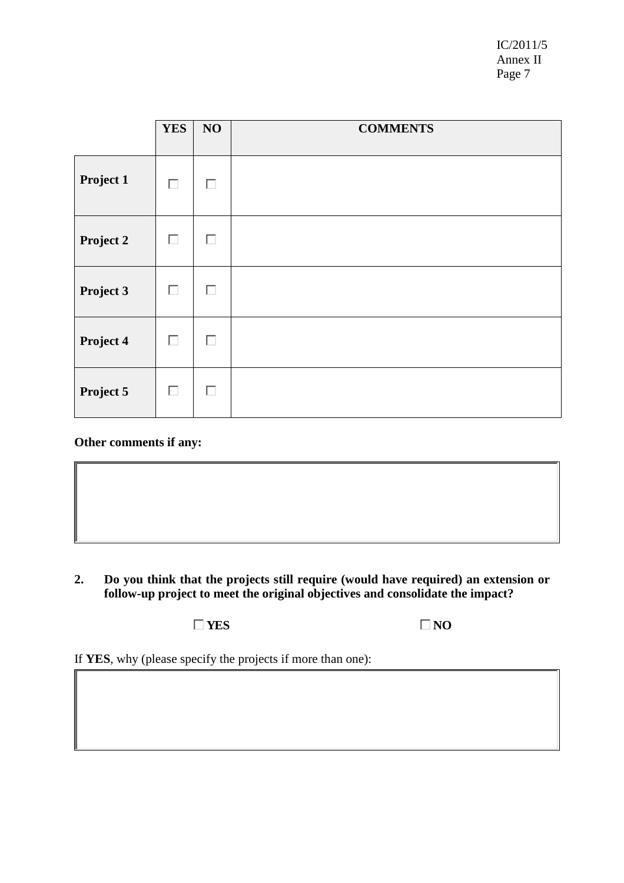IC/2011/5 Annex II Page 7

|           | <b>YES</b> | NO | <b>COMMENTS</b> |
|-----------|------------|----|-----------------|
| Project 1 | П          | п  |                 |
| Project 2 | П          | П  |                 |
| Project 3 | П          | П  |                 |
| Project 4 | П          | П  |                 |
| Project 5 | П          | П  |                 |

### **Other comments if any:**

**2. Do you think that the projects still require (would have required) an extension or follow-up project to meet the original objectives and consolidate the impact?** 

**NO NO** 

If **YES**, why (please specify the projects if more than one):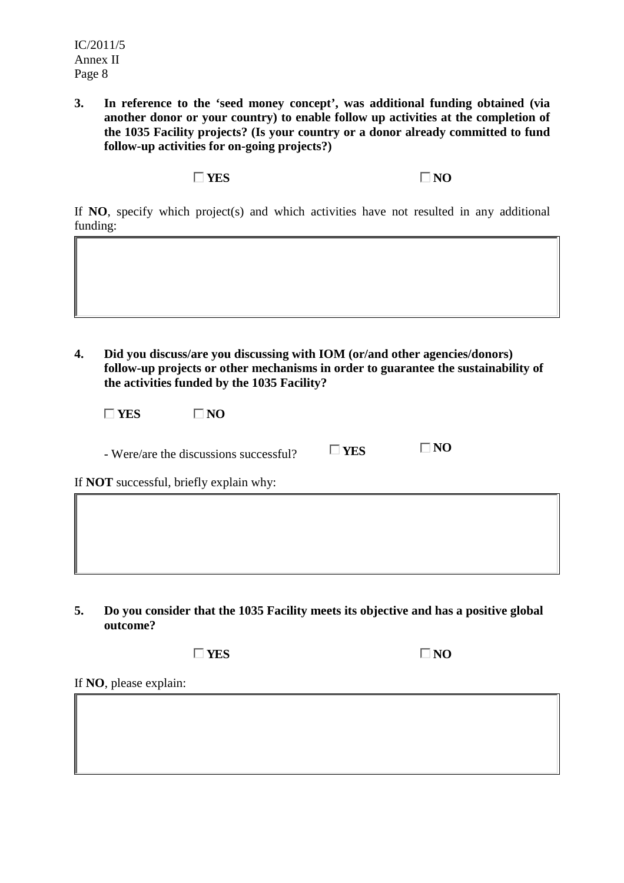**3. In reference to the 'seed money concept', was additional funding obtained (via another donor or your country) to enable follow up activities at the completion of the 1035 Facility projects? (Is your country or a donor already committed to fund follow-up activities for on-going projects?)** 

**NO NO** 

If **NO**, specify which project(s) and which activities have not resulted in any additional funding:

**4. Did you discuss/are you discussing with IOM (or/and other agencies/donors) follow-up projects or other mechanisms in order to guarantee the sustainability of the activities funded by the 1035 Facility?** 

| YES<br>NO.                                     |               |              |  |
|------------------------------------------------|---------------|--------------|--|
| - Were/are the discussions successful?         | $\square$ YES | $\square$ NO |  |
| If <b>NOT</b> successful, briefly explain why: |               |              |  |
|                                                |               |              |  |

**5. Do you consider that the 1035 Facility meets its objective and has a positive global outcome?** 

 $\Box$  YES  $\Box$  NO

If **NO**, please explain: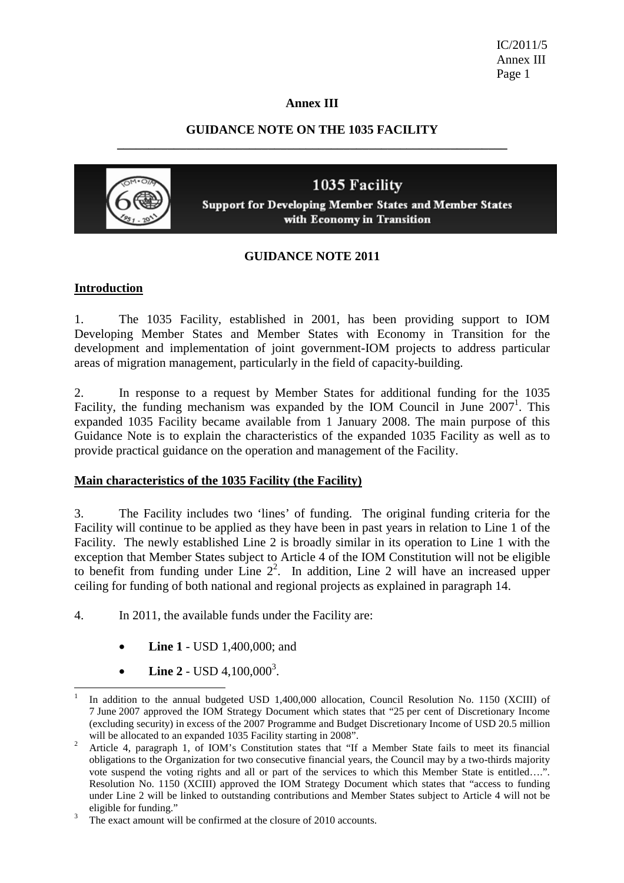IC/2011/5 Annex III Page 1

#### **Annex III**

### **GUIDANCE NOTE ON THE 1035 FACILITY \_\_\_\_\_\_\_\_\_\_\_\_\_\_\_\_\_\_\_\_\_\_\_\_\_\_\_\_\_\_\_\_\_\_\_\_\_\_\_\_\_\_\_\_\_\_\_\_\_\_\_\_\_\_\_\_\_\_\_\_\_\_**



1035 Facility **Support for Developing Member States and Member States** with Economy in Transition

### **GUIDANCE NOTE 2011**

#### **Introduction**

1. The 1035 Facility, established in 2001, has been providing support to IOM Developing Member States and Member States with Economy in Transition for the development and implementation of joint government-IOM projects to address particular areas of migration management, particularly in the field of capacity-building.

2. In response to a request by Member States for additional funding for the 1035 Facility, the funding mechanism was expanded by the IOM Council in June  $2007<sup>1</sup>$ . This expanded 1035 Facility became available from 1 January 2008. The main purpose of this Guidance Note is to explain the characteristics of the expanded 1035 Facility as well as to provide practical guidance on the operation and management of the Facility.

#### **Main characteristics of the 1035 Facility (the Facility)**

3. The Facility includes two 'lines' of funding. The original funding criteria for the Facility will continue to be applied as they have been in past years in relation to Line 1 of the Facility. The newly established Line 2 is broadly similar in its operation to Line 1 with the exception that Member States subject to Article 4 of the IOM Constitution will not be eligible to benefit from funding under Line  $2<sup>2</sup>$ . In addition, Line 2 will have an increased upper ceiling for funding of both national and regional projects as explained in paragraph 14.

- 4. In 2011, the available funds under the Facility are:
	- **Line 1** USD 1,400,000; and
	- Line 2 USD  $4,100,000^3$ .

 $\overline{a}$ 1 In addition to the annual budgeted USD 1,400,000 allocation, Council Resolution No. 1150 (XCIII) of 7 June 2007 approved the IOM Strategy Document which states that "25 per cent of Discretionary Income (excluding security) in excess of the 2007 Programme and Budget Discretionary Income of USD 20.5 million

will be allocated to an expanded 1035 Facility starting in 2008".<br><sup>2</sup> Article 4, paragraph 1, of IOM's Constitution states that "If a Member State fails to meet its financial obligations to the Organization for two consecutive financial years, the Council may by a two-thirds majority vote suspend the voting rights and all or part of the services to which this Member State is entitled….". Resolution No. 1150 (XCIII) approved the IOM Strategy Document which states that "access to funding under Line 2 will be linked to outstanding contributions and Member States subject to Article 4 will not be eligible for funding."

The exact amount will be confirmed at the closure of 2010 accounts.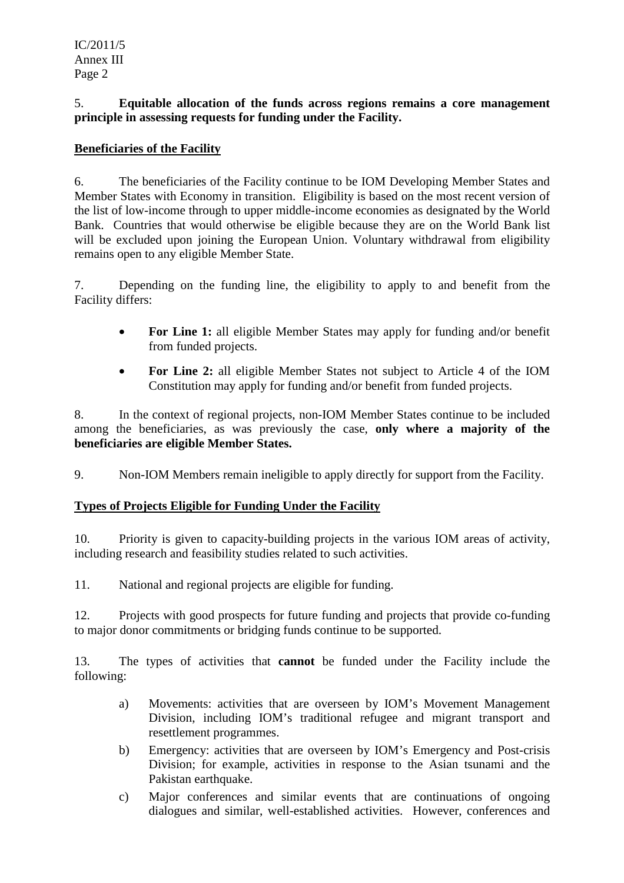### 5. **Equitable allocation of the funds across regions remains a core management principle in assessing requests for funding under the Facility.**

### **Beneficiaries of the Facility**

6. The beneficiaries of the Facility continue to be IOM Developing Member States and Member States with Economy in transition. Eligibility is based on the most recent version of the list of low-income through to upper middle-income economies as designated by the World Bank. Countries that would otherwise be eligible because they are on the World Bank list will be excluded upon joining the European Union. Voluntary withdrawal from eligibility remains open to any eligible Member State.

7. Depending on the funding line, the eligibility to apply to and benefit from the Facility differs:

- **For Line 1:** all eligible Member States may apply for funding and/or benefit from funded projects.
- **For Line 2:** all eligible Member States not subject to Article 4 of the IOM Constitution may apply for funding and/or benefit from funded projects.

8. In the context of regional projects, non-IOM Member States continue to be included among the beneficiaries, as was previously the case, **only where a majority of the beneficiaries are eligible Member States.** 

9. Non-IOM Members remain ineligible to apply directly for support from the Facility.

## **Types of Projects Eligible for Funding Under the Facility**

10. Priority is given to capacity-building projects in the various IOM areas of activity, including research and feasibility studies related to such activities.

11. National and regional projects are eligible for funding.

12. Projects with good prospects for future funding and projects that provide co-funding to major donor commitments or bridging funds continue to be supported.

13. The types of activities that **cannot** be funded under the Facility include the following:

- a) Movements: activities that are overseen by IOM's Movement Management Division, including IOM's traditional refugee and migrant transport and resettlement programmes.
- b) Emergency: activities that are overseen by IOM's Emergency and Post-crisis Division; for example, activities in response to the Asian tsunami and the Pakistan earthquake.
- c) Major conferences and similar events that are continuations of ongoing dialogues and similar, well-established activities. However, conferences and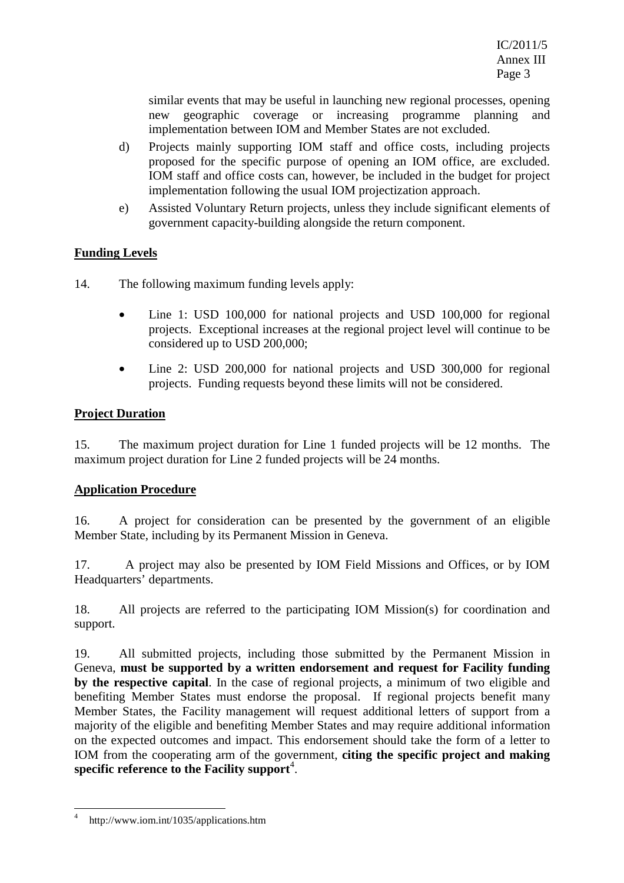similar events that may be useful in launching new regional processes, opening new geographic coverage or increasing programme planning and implementation between IOM and Member States are not excluded.

- d) Projects mainly supporting IOM staff and office costs, including projects proposed for the specific purpose of opening an IOM office, are excluded. IOM staff and office costs can, however, be included in the budget for project implementation following the usual IOM projectization approach.
- e) Assisted Voluntary Return projects, unless they include significant elements of government capacity-building alongside the return component.

### **Funding Levels**

- 14. The following maximum funding levels apply:
	- Line 1: USD 100,000 for national projects and USD 100,000 for regional projects. Exceptional increases at the regional project level will continue to be considered up to USD 200,000;
	- Line 2: USD 200,000 for national projects and USD 300,000 for regional projects. Funding requests beyond these limits will not be considered.

### **Project Duration**

15. The maximum project duration for Line 1 funded projects will be 12 months. The maximum project duration for Line 2 funded projects will be 24 months.

### **Application Procedure**

16. A project for consideration can be presented by the government of an eligible Member State, including by its Permanent Mission in Geneva.

17. A project may also be presented by IOM Field Missions and Offices, or by IOM Headquarters' departments.

18. All projects are referred to the participating IOM Mission(s) for coordination and support.

19. All submitted projects, including those submitted by the Permanent Mission in Geneva, **must be supported by a written endorsement and request for Facility funding by the respective capital**. In the case of regional projects, a minimum of two eligible and benefiting Member States must endorse the proposal. If regional projects benefit many Member States, the Facility management will request additional letters of support from a majority of the eligible and benefiting Member States and may require additional information on the expected outcomes and impact. This endorsement should take the form of a letter to IOM from the cooperating arm of the government, **citing the specific project and making**  specific reference to the Facility support<sup>4</sup>.

 $\overline{\phantom{a}}$ 

<sup>4</sup> http://www.iom.int/1035/applications.htm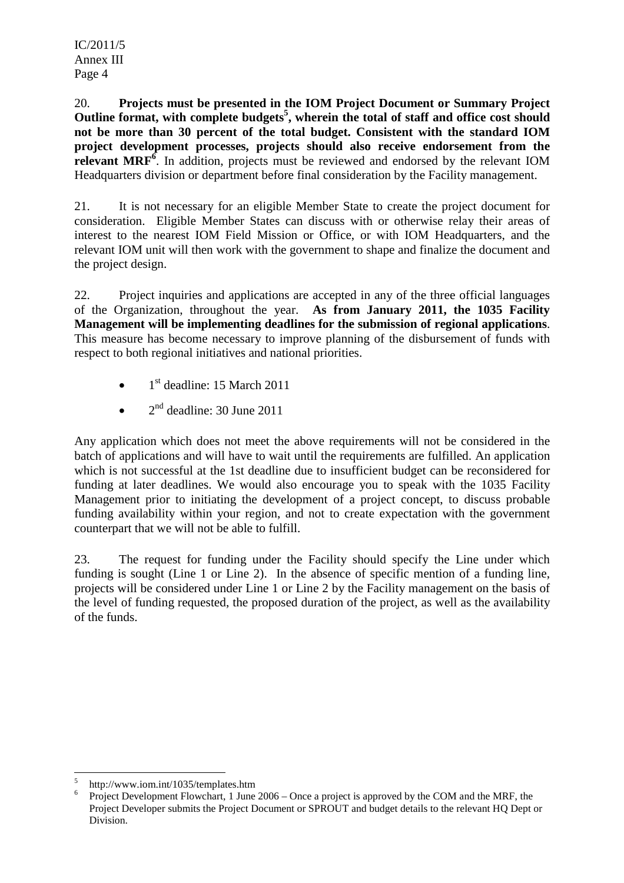20. **Projects must be presented in the IOM Project Document or Summary Project Outline format, with complete budgets<sup>5</sup> , wherein the total of staff and office cost should not be more than 30 percent of the total budget. Consistent with the standard IOM project development processes, projects should also receive endorsement from the**  relevant MRF<sup>6</sup>. In addition, projects must be reviewed and endorsed by the relevant IOM Headquarters division or department before final consideration by the Facility management.

21. It is not necessary for an eligible Member State to create the project document for consideration. Eligible Member States can discuss with or otherwise relay their areas of interest to the nearest IOM Field Mission or Office, or with IOM Headquarters, and the relevant IOM unit will then work with the government to shape and finalize the document and the project design.

22. Project inquiries and applications are accepted in any of the three official languages of the Organization, throughout the year. **As from January 2011, the 1035 Facility Management will be implementing deadlines for the submission of regional applications**. This measure has become necessary to improve planning of the disbursement of funds with respect to both regional initiatives and national priorities.

- $\bullet$  1<sup>st</sup> deadline: 15 March 2011
- $2<sup>nd</sup>$  deadline: 30 June 2011

Any application which does not meet the above requirements will not be considered in the batch of applications and will have to wait until the requirements are fulfilled. An application which is not successful at the 1st deadline due to insufficient budget can be reconsidered for funding at later deadlines. We would also encourage you to speak with the 1035 Facility Management prior to initiating the development of a project concept, to discuss probable funding availability within your region, and not to create expectation with the government counterpart that we will not be able to fulfill.

23. The request for funding under the Facility should specify the Line under which funding is sought (Line 1 or Line 2). In the absence of specific mention of a funding line, projects will be considered under Line 1 or Line 2 by the Facility management on the basis of the level of funding requested, the proposed duration of the project, as well as the availability of the funds.

 $\overline{\phantom{a}}$ 5 http://www.iom.int/1035/templates.htm

<sup>6</sup> Project Development Flowchart, 1 June 2006 – Once a project is approved by the COM and the MRF, the Project Developer submits the Project Document or SPROUT and budget details to the relevant HQ Dept or Division.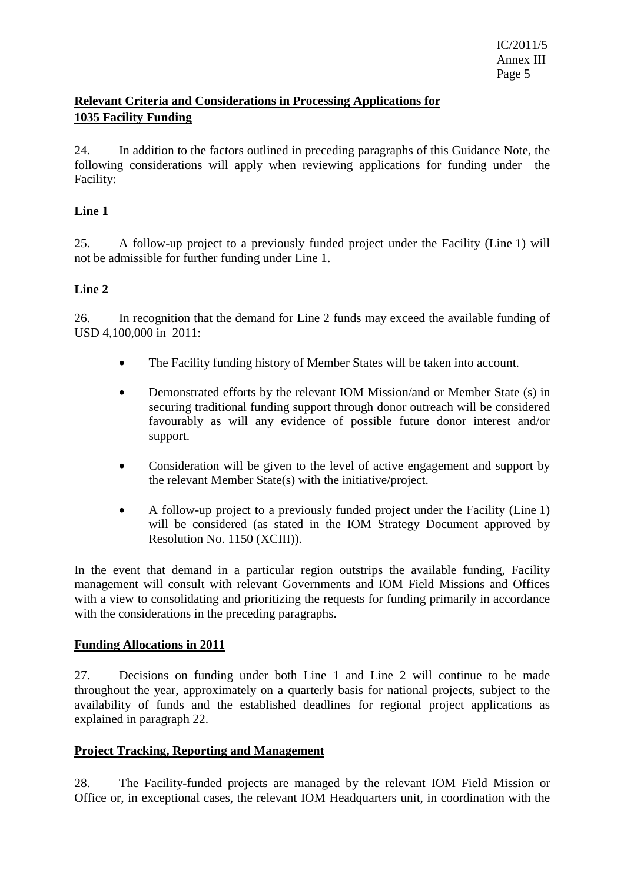## **Relevant Criteria and Considerations in Processing Applications for 1035 Facility Funding**

24. In addition to the factors outlined in preceding paragraphs of this Guidance Note, the following considerations will apply when reviewing applications for funding under the Facility:

### **Line 1**

25. A follow-up project to a previously funded project under the Facility (Line 1) will not be admissible for further funding under Line 1.

### **Line 2**

26. In recognition that the demand for Line 2 funds may exceed the available funding of USD 4,100,000 in 2011:

- The Facility funding history of Member States will be taken into account.
- Demonstrated efforts by the relevant IOM Mission/and or Member State (s) in securing traditional funding support through donor outreach will be considered favourably as will any evidence of possible future donor interest and/or support.
- Consideration will be given to the level of active engagement and support by the relevant Member State(s) with the initiative/project.
- A follow-up project to a previously funded project under the Facility (Line 1) will be considered (as stated in the IOM Strategy Document approved by Resolution No. 1150 (XCIII)).

In the event that demand in a particular region outstrips the available funding, Facility management will consult with relevant Governments and IOM Field Missions and Offices with a view to consolidating and prioritizing the requests for funding primarily in accordance with the considerations in the preceding paragraphs.

### **Funding Allocations in 2011**

27. Decisions on funding under both Line 1 and Line 2 will continue to be made throughout the year, approximately on a quarterly basis for national projects, subject to the availability of funds and the established deadlines for regional project applications as explained in paragraph 22.

### **Project Tracking, Reporting and Management**

28. The Facility-funded projects are managed by the relevant IOM Field Mission or Office or, in exceptional cases, the relevant IOM Headquarters unit, in coordination with the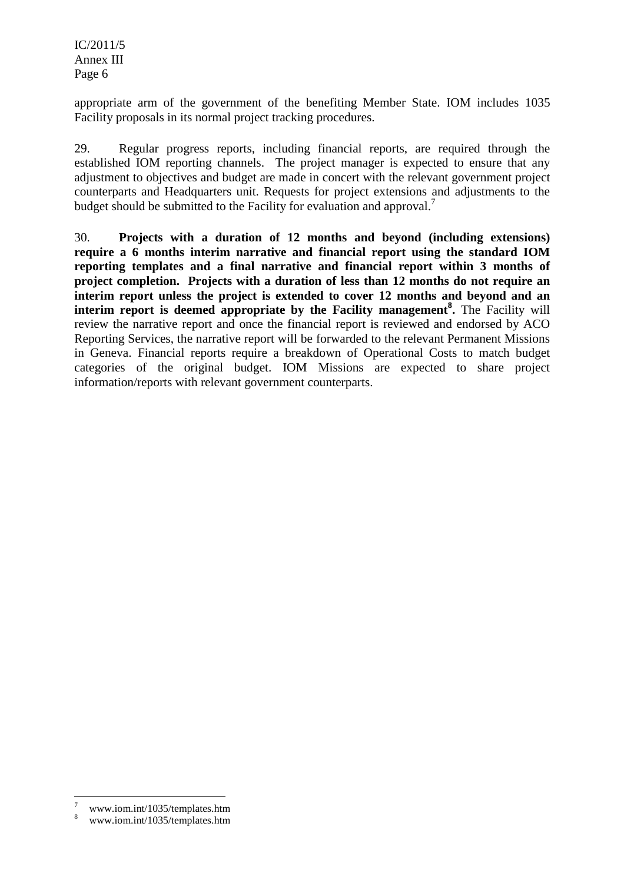appropriate arm of the government of the benefiting Member State. IOM includes 1035 Facility proposals in its normal project tracking procedures.

29. Regular progress reports, including financial reports, are required through the established IOM reporting channels. The project manager is expected to ensure that any adjustment to objectives and budget are made in concert with the relevant government project counterparts and Headquarters unit. Requests for project extensions and adjustments to the budget should be submitted to the Facility for evaluation and approval.<sup>7</sup>

30. **Projects with a duration of 12 months and beyond (including extensions) require a 6 months interim narrative and financial report using the standard IOM reporting templates and a final narrative and financial report within 3 months of project completion. Projects with a duration of less than 12 months do not require an interim report unless the project is extended to cover 12 months and beyond and an interim report is deemed appropriate by the Facility management<sup>8</sup> .** The Facility will review the narrative report and once the financial report is reviewed and endorsed by ACO Reporting Services, the narrative report will be forwarded to the relevant Permanent Missions in Geneva. Financial reports require a breakdown of Operational Costs to match budget categories of the original budget. IOM Missions are expected to share project information/reports with relevant government counterparts.

l

<sup>7</sup> www.iom.int/1035/templates.htm

<sup>8</sup> www.iom.int/1035/templates.htm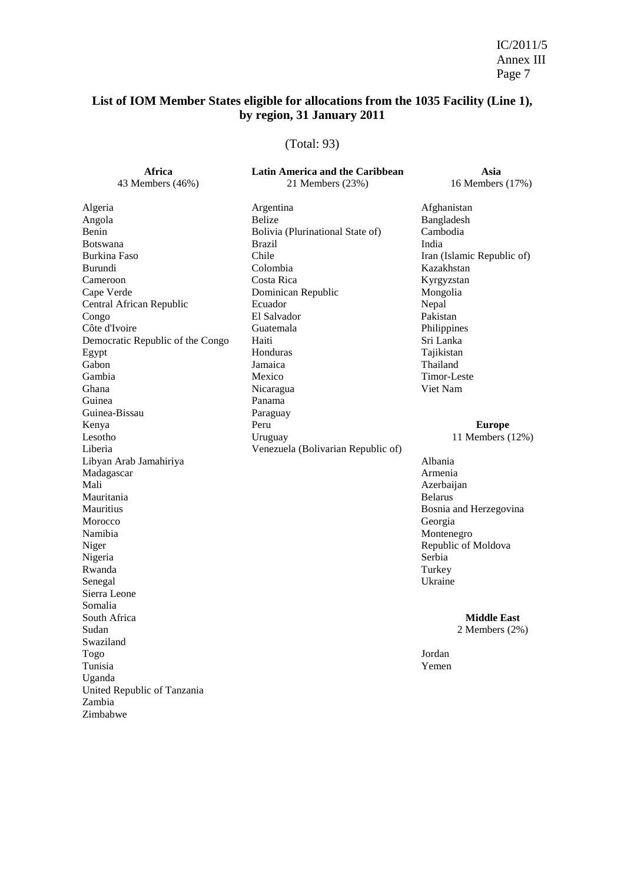# **List of IOM Member States eligible for allocations from the 1035 Facility (Line 1), by region, 31 January 2011**

### (Total: 93)

| Africa                           | Latin America and the Caribbean    | Asia                       |
|----------------------------------|------------------------------------|----------------------------|
| 43 Members (46%)                 | 21 Members (23%)                   | 16 Members (17%)           |
| Algeria                          | Argentina                          | Afghanistan                |
| Angola                           | <b>Belize</b>                      | Bangladesh                 |
| Benin                            | Bolivia (Plurinational State of)   | Cambodia                   |
| <b>Botswana</b>                  | <b>Brazil</b>                      | India                      |
| Burkina Faso                     | Chile                              | Iran (Islamic Republic of) |
| Burundi                          | Colombia                           | Kazakhstan                 |
| Cameroon                         | Costa Rica                         | Kyrgyzstan                 |
| Cape Verde                       | Dominican Republic                 | Mongolia                   |
| Central African Republic         | Ecuador                            | Nepal                      |
| Congo                            | El Salvador                        | Pakistan                   |
| Côte d'Ivoire                    | Guatemala                          | Philippines                |
| Democratic Republic of the Congo | Haiti                              | Sri Lanka                  |
| Egypt                            | Honduras                           | Tajikistan                 |
| Gabon                            | Jamaica                            | Thailand                   |
| Gambia                           | Mexico                             | Timor-Leste                |
| Ghana                            | Nicaragua                          | Viet Nam                   |
| Guinea                           | Panama                             |                            |
| Guinea-Bissau                    | Paraguay                           |                            |
| Kenya                            | Peru                               | <b>Europe</b>              |
| Lesotho                          | Uruguay                            | 11 Members (12%)           |
| Liberia                          | Venezuela (Bolivarian Republic of) |                            |
| Libyan Arab Jamahiriya           |                                    | Albania                    |
| Madagascar                       |                                    | Armenia                    |
| Mali                             |                                    | Azerbaijan                 |
| Mauritania                       |                                    | <b>Belarus</b>             |
| Mauritius                        |                                    | Bosnia and Herzegovina     |
| Morocco                          |                                    | Georgia                    |
| Namibia                          |                                    | Montenegro                 |
| Niger                            |                                    | Republic of Moldova        |
| Nigeria                          |                                    | Serbia                     |
| Rwanda                           |                                    | Turkey                     |
| Senegal                          |                                    | Ukraine                    |
| Sierra Leone                     |                                    |                            |
| Somalia                          |                                    |                            |
| South Africa                     |                                    | <b>Middle East</b>         |
| Sudan                            |                                    | 2 Members $(2\%)$          |
| Swaziland                        |                                    |                            |
| Togo                             |                                    | Jordan                     |
| Tunisia                          |                                    | Yemen                      |
| Uganda                           |                                    |                            |
| United Republic of Tanzania      |                                    |                            |
| Zambia                           |                                    |                            |
| Zimbabwe                         |                                    |                            |
|                                  |                                    |                            |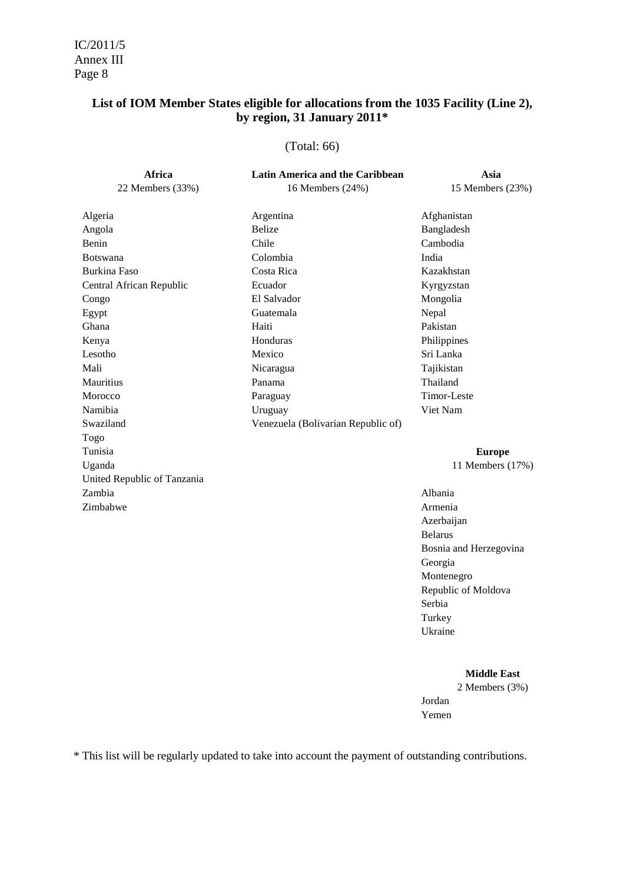### **List of IOM Member States eligible for allocations from the 1035 Facility (Line 2), by region, 31 January 2011\***

#### (Total: 66)

| Africa                      | <b>Latin America and the Caribbean</b> | Asia             |
|-----------------------------|----------------------------------------|------------------|
| 22 Members (33%)            | 16 Members (24%)                       | 15 Members (23%) |
| Algeria                     | Argentina                              | Afghanistan      |
| Angola                      | <b>Belize</b>                          | Bangladesh       |
| Benin                       | Chile                                  | Cambodia         |
| <b>Botswana</b>             | Colombia                               | India            |
| Burkina Faso                | Costa Rica                             | Kazakhstan       |
| Central African Republic    | Ecuador                                | Kyrgyzstan       |
| Congo                       | El Salvador                            | Mongolia         |
| Egypt                       | Guatemala                              | Nepal            |
| Ghana                       | Haiti                                  | Pakistan         |
| Kenya                       | Honduras                               | Philippines      |
| Lesotho                     | Mexico                                 | Sri Lanka        |
| Mali                        | Nicaragua                              | Tajikistan       |
| Mauritius                   | Panama                                 | Thailand         |
| Morocco                     | Paraguay                               | Timor-Leste      |
| Namibia                     | Uruguay                                | Viet Nam         |
| Swaziland                   | Venezuela (Bolivarian Republic of)     |                  |
| Togo                        |                                        |                  |
| Tunisia                     |                                        | <b>Europe</b>    |
| Uganda                      |                                        | 11 Members (17%) |
| United Republic of Tanzania |                                        |                  |
| Zambia                      |                                        | Albania          |
| Zimbabwe                    |                                        | Armenia          |
|                             |                                        | Azerbaijan       |
|                             |                                        | <b>Belarus</b>   |

 Bosnia and Herzegovina Georgia Montenegro Republic of Moldova Serbia **Turkey Turkey** Ukraine van die koning van die koning van die koning van die koning van die koning van die koning van die koning van die koning van die koning van die koning van die koning van die koning van die koning van die koning van

#### **Middle East**

 2 Members (3%) Jordan **Yemen Yemen** 

\* This list will be regularly updated to take into account the payment of outstanding contributions.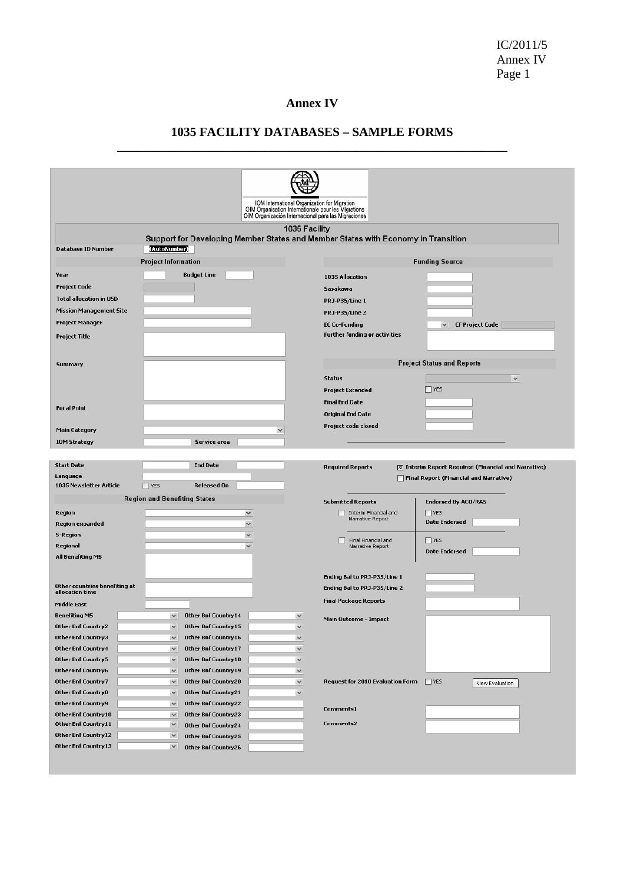IC/2011/5 Annex IV Page 1

### **Annex IV**

### **1035 FACILITY DATABASES – SAMPLE FORMS \_\_\_\_\_\_\_\_\_\_\_\_\_\_\_\_\_\_\_\_\_\_\_\_\_\_\_\_\_\_\_\_\_\_\_\_\_\_\_\_\_\_\_\_\_\_\_\_\_\_\_\_\_\_\_\_\_\_\_\_\_\_**

|                                                                                                                                                        | IOM International Organization for Migration<br>OIM Organisation Internationale pour les Migrations |
|--------------------------------------------------------------------------------------------------------------------------------------------------------|-----------------------------------------------------------------------------------------------------|
|                                                                                                                                                        | OIM Organización Internacional para las Migraciones                                                 |
|                                                                                                                                                        | 1035 Facility                                                                                       |
|                                                                                                                                                        | Support for Developing Member States and Member States with Economy in Transition                   |
| (AutoNumber)<br>Database ID Number                                                                                                                     |                                                                                                     |
| <b>Project Information</b>                                                                                                                             | <b>Funding Source</b>                                                                               |
| Year<br><b>Budget Line</b>                                                                                                                             | 1035 Allocation                                                                                     |
| <b>Project Code</b>                                                                                                                                    | Sasakawa                                                                                            |
| <b>Total allocation in USD</b>                                                                                                                         | PRJ-P35/Line 1                                                                                      |
| <b>Mission Management Site</b>                                                                                                                         | <b>PRJ-P35/Line 2</b>                                                                               |
| Project Manager                                                                                                                                        | <b>EC Co-Funding</b><br><b>CF Project Code</b><br>$\checkmark$                                      |
| <b>Project Title</b>                                                                                                                                   | Further funding or activities                                                                       |
|                                                                                                                                                        |                                                                                                     |
| Summary                                                                                                                                                | <b>Project Status and Reports</b>                                                                   |
|                                                                                                                                                        | <b>Status</b><br>$\checkmark$                                                                       |
|                                                                                                                                                        | $\Box$ YES<br><b>Project Extended</b>                                                               |
|                                                                                                                                                        | <b>Final End Date</b>                                                                               |
| <b>Focal Point</b>                                                                                                                                     | <b>Original End Date</b>                                                                            |
|                                                                                                                                                        | Project code closed                                                                                 |
| <b>Main Category</b>                                                                                                                                   |                                                                                                     |
| Service area<br><b>IOM Strategy</b>                                                                                                                    |                                                                                                     |
|                                                                                                                                                        |                                                                                                     |
|                                                                                                                                                        |                                                                                                     |
| <b>End Date</b><br><b>Start Date</b>                                                                                                                   | <b>Required Reports</b><br>Interim Report Required (Financial and Narrative)                        |
| Language<br>1035 Newsletter Article<br>Released On<br>$\Box$ YES                                                                                       | Final Report (Financial and Narrative)                                                              |
|                                                                                                                                                        |                                                                                                     |
| <b>Region and Benefiting States</b>                                                                                                                    | <b>Submitted Reports</b><br><b>Endorsed By ACO/RAS</b>                                              |
| Region<br>$\checkmark$                                                                                                                                 | $\Box$ YES<br>Interim Financial and<br>Narrative Report<br><b>Date Endorsed</b>                     |
| <b>Region expanded</b><br>$\checkmark$<br><b>S-Region</b><br>$\checkmark$                                                                              |                                                                                                     |
| Regional<br>$\checkmark$                                                                                                                               | Final Financial and<br>$\Box$ YES<br>H<br>Narrative Report                                          |
| All Benefiting MS                                                                                                                                      | <b>Date Endorsed</b>                                                                                |
|                                                                                                                                                        |                                                                                                     |
|                                                                                                                                                        | Ending Bal to PRJ-P35/Line 1                                                                        |
| Other countries benefiting at<br>allocation time                                                                                                       | Ending Bal to PRJ-P35/Line 2                                                                        |
| Middle East                                                                                                                                            | <b>Final Package Reports</b>                                                                        |
| <b>Other Bnf Country14</b><br><b>Benefiting MS</b><br>$\checkmark$<br>$\checkmark$                                                                     | Main Outcome - Impact                                                                               |
| Other Bnf Country2<br>Other Bnf Country15<br>$\vee$<br>$\checkmark$                                                                                    |                                                                                                     |
| Other Bnf Country3<br>Other Bnf Country 16<br>$\checkmark$<br>$\checkmark$                                                                             |                                                                                                     |
| <b>Other Bnf Country4</b><br>Other Bnf Country17<br>$\checkmark$<br>$\checkmark$                                                                       |                                                                                                     |
| Other Bnf Country5<br>$\checkmark$<br>Other Bnf Country18<br>$\checkmark$                                                                              |                                                                                                     |
| Other Bnf Country6<br>Other Bnf Country19<br>$\checkmark$<br>$\checkmark$<br>Other Bnf Country7<br>$\checkmark$<br>Other Bnf Country20<br>$\checkmark$ | Request for 2010 Evaluation Form<br>$\Box$ YES                                                      |
| Other Bnf Country8<br>$\checkmark$<br>Other Bnf Country21<br>$\checkmark$                                                                              | View Evaluation                                                                                     |
| Other Bnf Country9<br>$\checkmark$<br>Other Bnf Country22                                                                                              |                                                                                                     |
| Other Bnf Country10<br>$\checkmark$<br>Other Bnf Country23                                                                                             | Comments1                                                                                           |
| Other Bnf Country11<br>$\checkmark$<br>Other Bnf Country24                                                                                             | <b>Comments2</b>                                                                                    |
| Other Bnf Country 12<br>$\checkmark$<br>Other Bnf Country25                                                                                            |                                                                                                     |
| Other Bnf Country13<br>$\checkmark$<br>Other Bnf Country26                                                                                             |                                                                                                     |